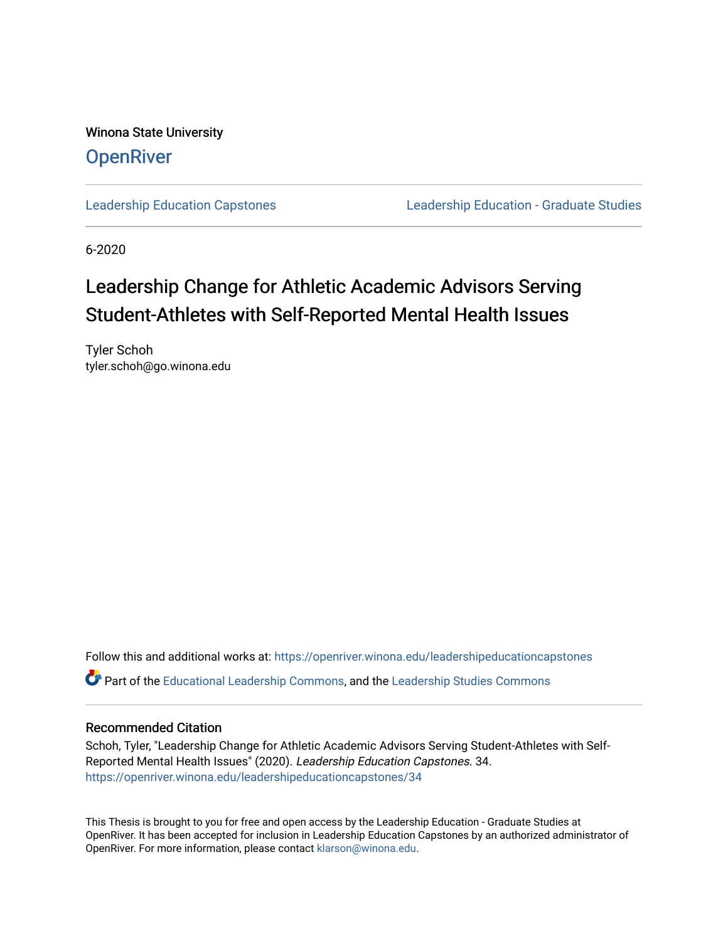Winona State University **OpenRiver** 

[Leadership Education Capstones](https://openriver.winona.edu/leadershipeducationcapstones) [Leadership Education - Graduate Studies](https://openriver.winona.edu/leadershipeducation) 

6-2020

# Leadership Change for Athletic Academic Advisors Serving Student-Athletes with Self-Reported Mental Health Issues

Tyler Schoh tyler.schoh@go.winona.edu

Follow this and additional works at: [https://openriver.winona.edu/leadershipeducationcapstones](https://openriver.winona.edu/leadershipeducationcapstones?utm_source=openriver.winona.edu%2Fleadershipeducationcapstones%2F34&utm_medium=PDF&utm_campaign=PDFCoverPages)  Part of the [Educational Leadership Commons,](http://network.bepress.com/hgg/discipline/1230?utm_source=openriver.winona.edu%2Fleadershipeducationcapstones%2F34&utm_medium=PDF&utm_campaign=PDFCoverPages) and the [Leadership Studies Commons](http://network.bepress.com/hgg/discipline/1250?utm_source=openriver.winona.edu%2Fleadershipeducationcapstones%2F34&utm_medium=PDF&utm_campaign=PDFCoverPages)

## Recommended Citation

Schoh, Tyler, "Leadership Change for Athletic Academic Advisors Serving Student-Athletes with Self-Reported Mental Health Issues" (2020). Leadership Education Capstones. 34. [https://openriver.winona.edu/leadershipeducationcapstones/34](https://openriver.winona.edu/leadershipeducationcapstones/34?utm_source=openriver.winona.edu%2Fleadershipeducationcapstones%2F34&utm_medium=PDF&utm_campaign=PDFCoverPages) 

This Thesis is brought to you for free and open access by the Leadership Education - Graduate Studies at OpenRiver. It has been accepted for inclusion in Leadership Education Capstones by an authorized administrator of OpenRiver. For more information, please contact [klarson@winona.edu](mailto:klarson@winona.edu).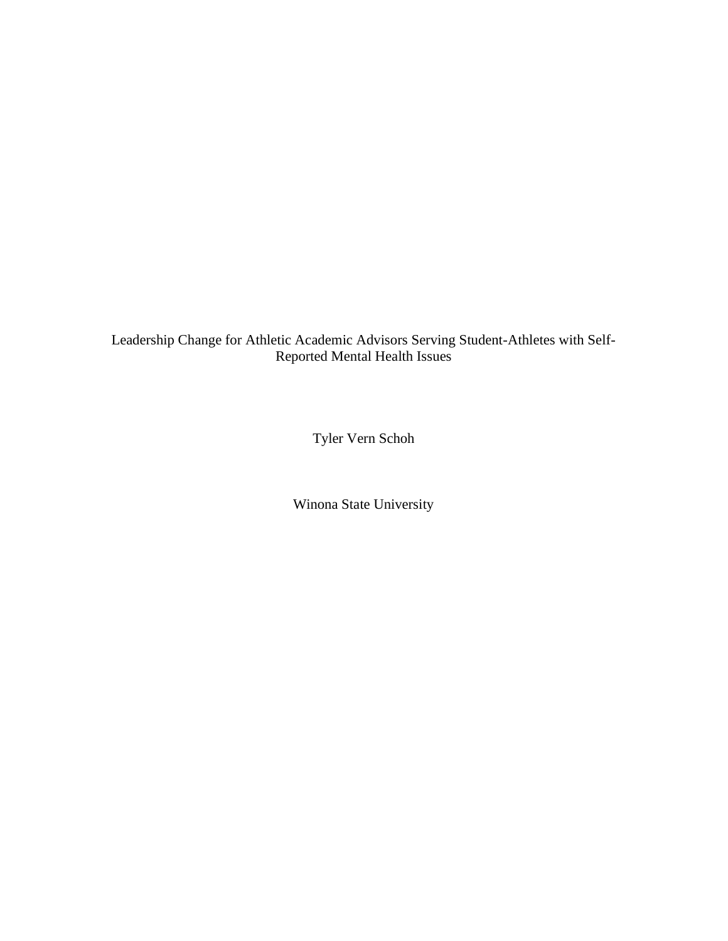Leadership Change for Athletic Academic Advisors Serving Student-Athletes with Self-Reported Mental Health Issues

Tyler Vern Schoh

Winona State University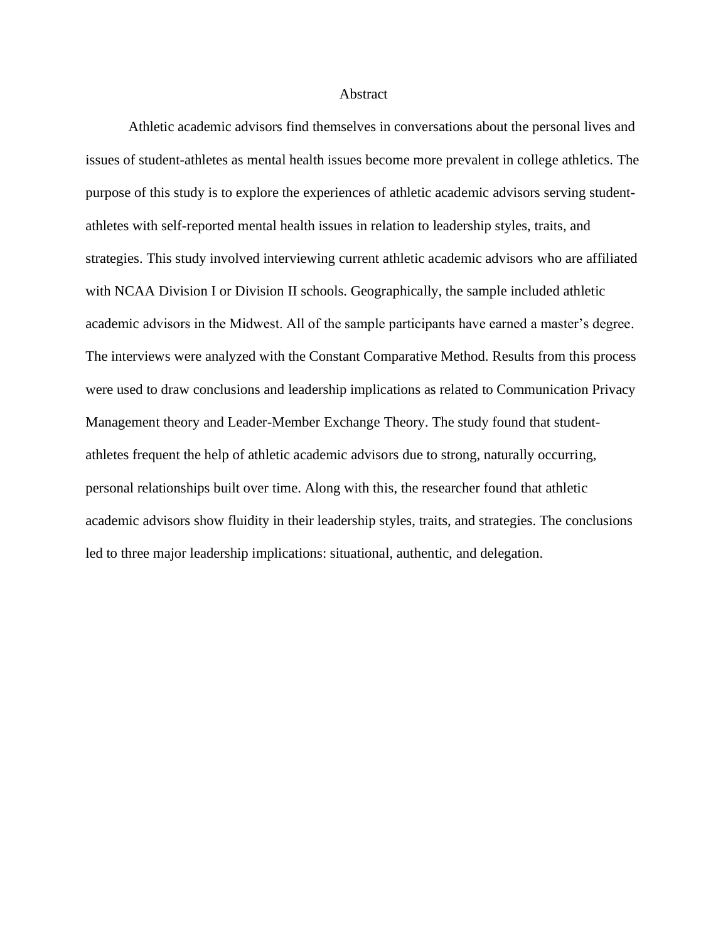#### **Abstract**

Athletic academic advisors find themselves in conversations about the personal lives and issues of student-athletes as mental health issues become more prevalent in college athletics. The purpose of this study is to explore the experiences of athletic academic advisors serving studentathletes with self-reported mental health issues in relation to leadership styles, traits, and strategies. This study involved interviewing current athletic academic advisors who are affiliated with NCAA Division I or Division II schools. Geographically, the sample included athletic academic advisors in the Midwest. All of the sample participants have earned a master's degree. The interviews were analyzed with the Constant Comparative Method. Results from this process were used to draw conclusions and leadership implications as related to Communication Privacy Management theory and Leader-Member Exchange Theory. The study found that studentathletes frequent the help of athletic academic advisors due to strong, naturally occurring, personal relationships built over time. Along with this, the researcher found that athletic academic advisors show fluidity in their leadership styles, traits, and strategies. The conclusions led to three major leadership implications: situational, authentic, and delegation.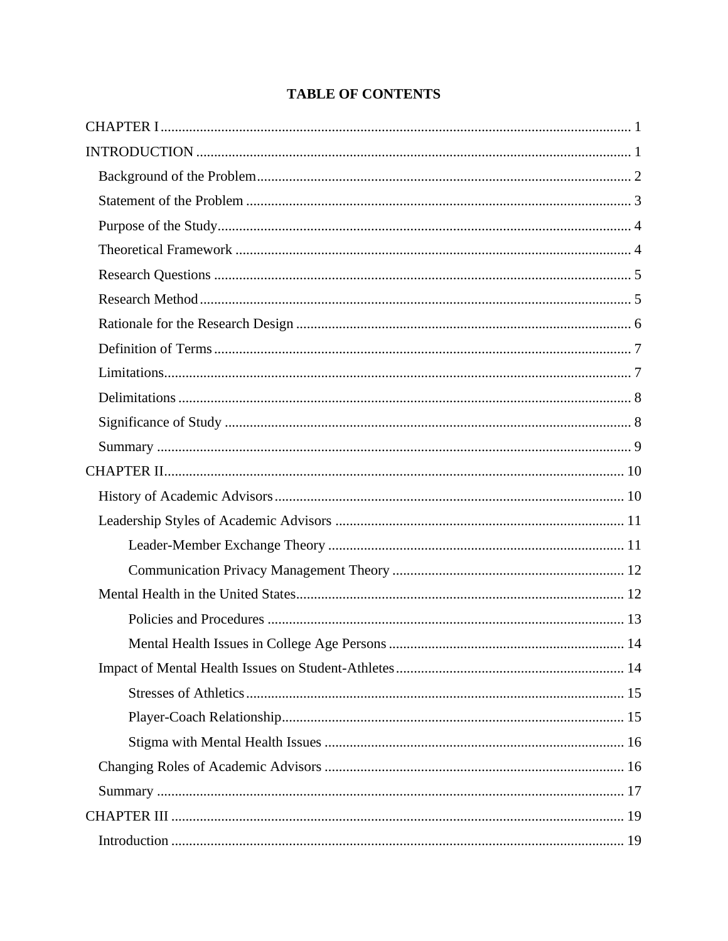## **TABLE OF CONTENTS**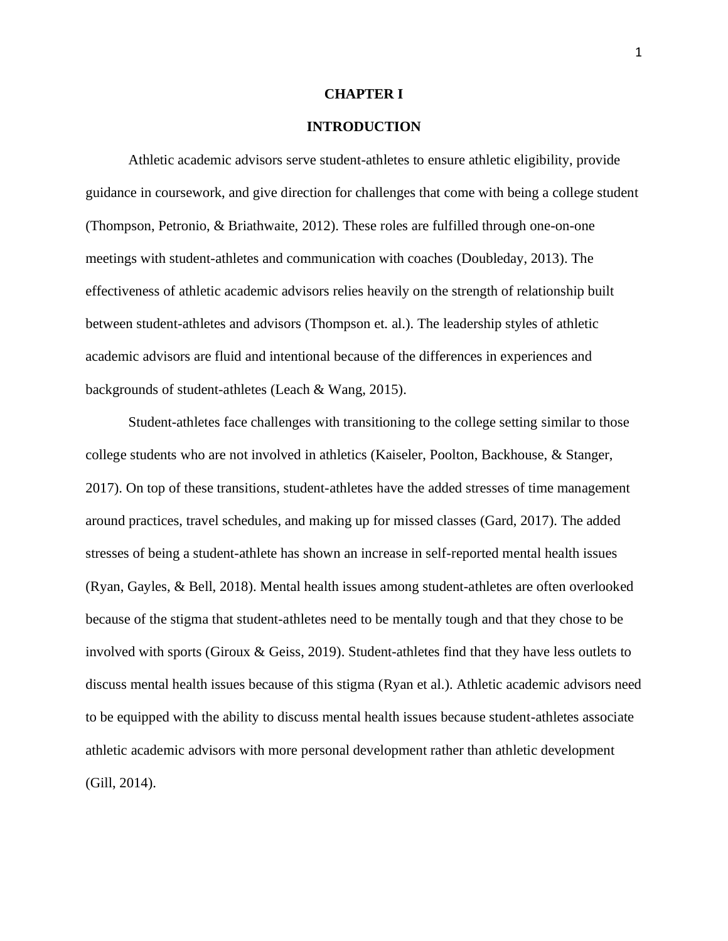#### **CHAPTER I**

## **INTRODUCTION**

Athletic academic advisors serve student-athletes to ensure athletic eligibility, provide guidance in coursework, and give direction for challenges that come with being a college student (Thompson, Petronio, & Briathwaite, 2012). These roles are fulfilled through one-on-one meetings with student-athletes and communication with coaches (Doubleday, 2013). The effectiveness of athletic academic advisors relies heavily on the strength of relationship built between student-athletes and advisors (Thompson et. al.). The leadership styles of athletic academic advisors are fluid and intentional because of the differences in experiences and backgrounds of student-athletes (Leach & Wang, 2015).

Student-athletes face challenges with transitioning to the college setting similar to those college students who are not involved in athletics (Kaiseler, Poolton, Backhouse, & Stanger, 2017). On top of these transitions, student-athletes have the added stresses of time management around practices, travel schedules, and making up for missed classes (Gard, 2017). The added stresses of being a student-athlete has shown an increase in self-reported mental health issues (Ryan, Gayles, & Bell, 2018). Mental health issues among student-athletes are often overlooked because of the stigma that student-athletes need to be mentally tough and that they chose to be involved with sports (Giroux & Geiss, 2019). Student-athletes find that they have less outlets to discuss mental health issues because of this stigma (Ryan et al.). Athletic academic advisors need to be equipped with the ability to discuss mental health issues because student-athletes associate athletic academic advisors with more personal development rather than athletic development (Gill, 2014).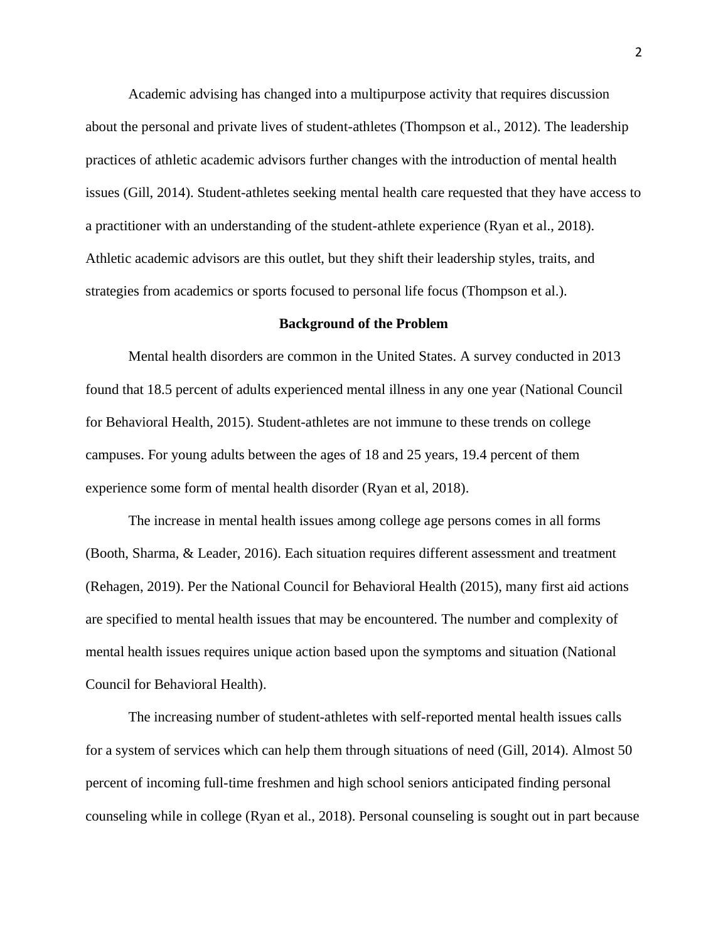Academic advising has changed into a multipurpose activity that requires discussion about the personal and private lives of student-athletes (Thompson et al., 2012). The leadership practices of athletic academic advisors further changes with the introduction of mental health issues (Gill, 2014). Student-athletes seeking mental health care requested that they have access to a practitioner with an understanding of the student-athlete experience (Ryan et al., 2018). Athletic academic advisors are this outlet, but they shift their leadership styles, traits, and strategies from academics or sports focused to personal life focus (Thompson et al.).

#### **Background of the Problem**

Mental health disorders are common in the United States. A survey conducted in 2013 found that 18.5 percent of adults experienced mental illness in any one year (National Council for Behavioral Health, 2015). Student-athletes are not immune to these trends on college campuses. For young adults between the ages of 18 and 25 years, 19.4 percent of them experience some form of mental health disorder (Ryan et al, 2018).

The increase in mental health issues among college age persons comes in all forms (Booth, Sharma, & Leader, 2016). Each situation requires different assessment and treatment (Rehagen, 2019). Per the National Council for Behavioral Health (2015), many first aid actions are specified to mental health issues that may be encountered. The number and complexity of mental health issues requires unique action based upon the symptoms and situation (National Council for Behavioral Health).

The increasing number of student-athletes with self-reported mental health issues calls for a system of services which can help them through situations of need (Gill, 2014). Almost 50 percent of incoming full-time freshmen and high school seniors anticipated finding personal counseling while in college (Ryan et al., 2018). Personal counseling is sought out in part because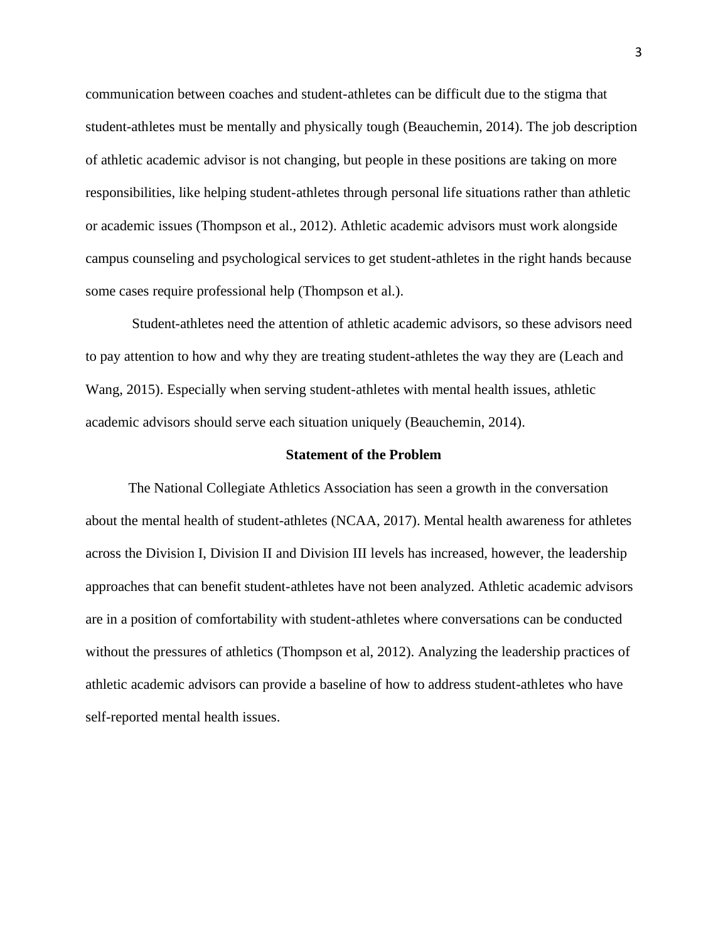communication between coaches and student-athletes can be difficult due to the stigma that student-athletes must be mentally and physically tough (Beauchemin, 2014). The job description of athletic academic advisor is not changing, but people in these positions are taking on more responsibilities, like helping student-athletes through personal life situations rather than athletic or academic issues (Thompson et al., 2012). Athletic academic advisors must work alongside campus counseling and psychological services to get student-athletes in the right hands because some cases require professional help (Thompson et al.).

Student-athletes need the attention of athletic academic advisors, so these advisors need to pay attention to how and why they are treating student-athletes the way they are (Leach and Wang, 2015). Especially when serving student-athletes with mental health issues, athletic academic advisors should serve each situation uniquely (Beauchemin, 2014).

#### **Statement of the Problem**

The National Collegiate Athletics Association has seen a growth in the conversation about the mental health of student-athletes (NCAA, 2017). Mental health awareness for athletes across the Division I, Division II and Division III levels has increased, however, the leadership approaches that can benefit student-athletes have not been analyzed. Athletic academic advisors are in a position of comfortability with student-athletes where conversations can be conducted without the pressures of athletics (Thompson et al, 2012). Analyzing the leadership practices of athletic academic advisors can provide a baseline of how to address student-athletes who have self-reported mental health issues.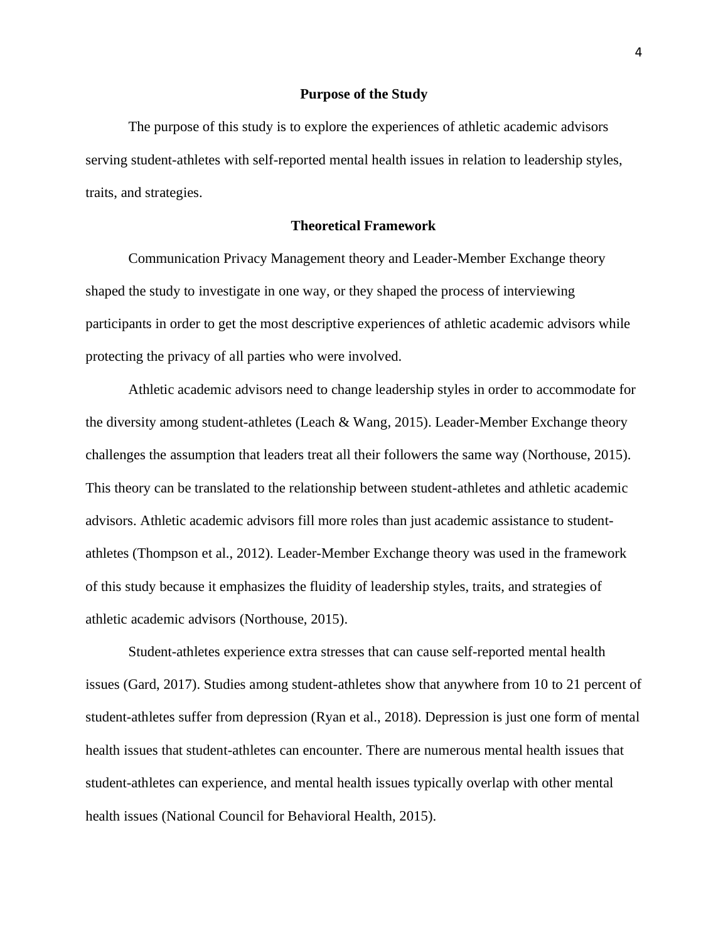#### **Purpose of the Study**

The purpose of this study is to explore the experiences of athletic academic advisors serving student-athletes with self-reported mental health issues in relation to leadership styles, traits, and strategies.

## **Theoretical Framework**

Communication Privacy Management theory and Leader-Member Exchange theory shaped the study to investigate in one way, or they shaped the process of interviewing participants in order to get the most descriptive experiences of athletic academic advisors while protecting the privacy of all parties who were involved.

Athletic academic advisors need to change leadership styles in order to accommodate for the diversity among student-athletes (Leach & Wang, 2015). Leader-Member Exchange theory challenges the assumption that leaders treat all their followers the same way (Northouse, 2015). This theory can be translated to the relationship between student-athletes and athletic academic advisors. Athletic academic advisors fill more roles than just academic assistance to studentathletes (Thompson et al., 2012). Leader-Member Exchange theory was used in the framework of this study because it emphasizes the fluidity of leadership styles, traits, and strategies of athletic academic advisors (Northouse, 2015).

Student-athletes experience extra stresses that can cause self-reported mental health issues (Gard, 2017). Studies among student-athletes show that anywhere from 10 to 21 percent of student-athletes suffer from depression (Ryan et al., 2018). Depression is just one form of mental health issues that student-athletes can encounter. There are numerous mental health issues that student-athletes can experience, and mental health issues typically overlap with other mental health issues (National Council for Behavioral Health, 2015).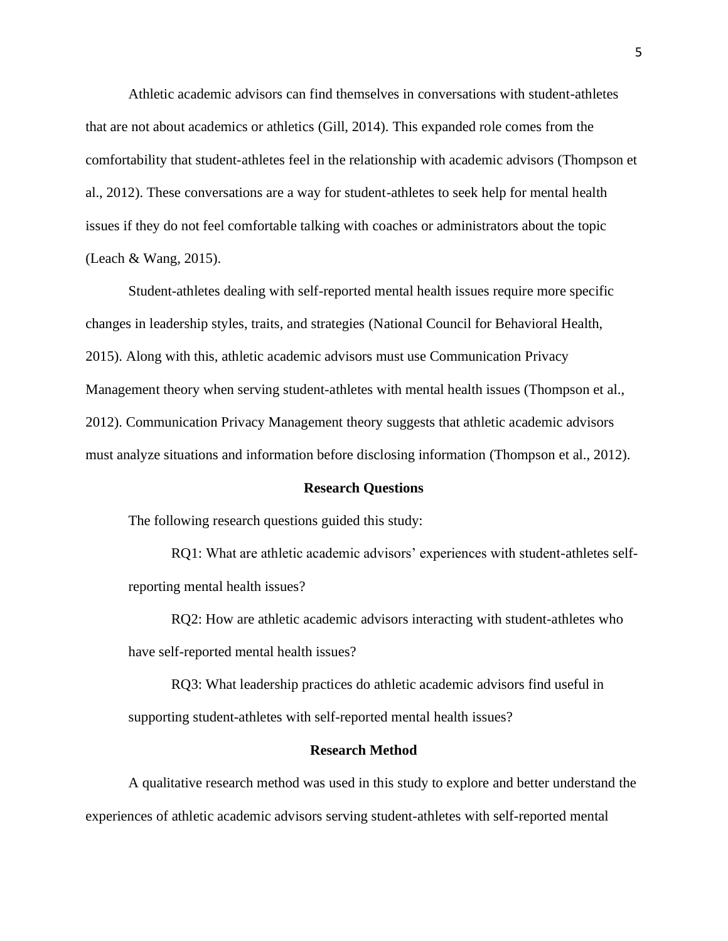Athletic academic advisors can find themselves in conversations with student-athletes that are not about academics or athletics (Gill, 2014). This expanded role comes from the comfortability that student-athletes feel in the relationship with academic advisors (Thompson et al., 2012). These conversations are a way for student-athletes to seek help for mental health issues if they do not feel comfortable talking with coaches or administrators about the topic (Leach & Wang, 2015).

Student-athletes dealing with self-reported mental health issues require more specific changes in leadership styles, traits, and strategies (National Council for Behavioral Health, 2015). Along with this, athletic academic advisors must use Communication Privacy Management theory when serving student-athletes with mental health issues (Thompson et al., 2012). Communication Privacy Management theory suggests that athletic academic advisors must analyze situations and information before disclosing information (Thompson et al., 2012).

#### **Research Questions**

The following research questions guided this study:

RQ1: What are athletic academic advisors' experiences with student-athletes selfreporting mental health issues?

RQ2: How are athletic academic advisors interacting with student-athletes who have self-reported mental health issues?

RQ3: What leadership practices do athletic academic advisors find useful in supporting student-athletes with self-reported mental health issues?

## **Research Method**

A qualitative research method was used in this study to explore and better understand the experiences of athletic academic advisors serving student-athletes with self-reported mental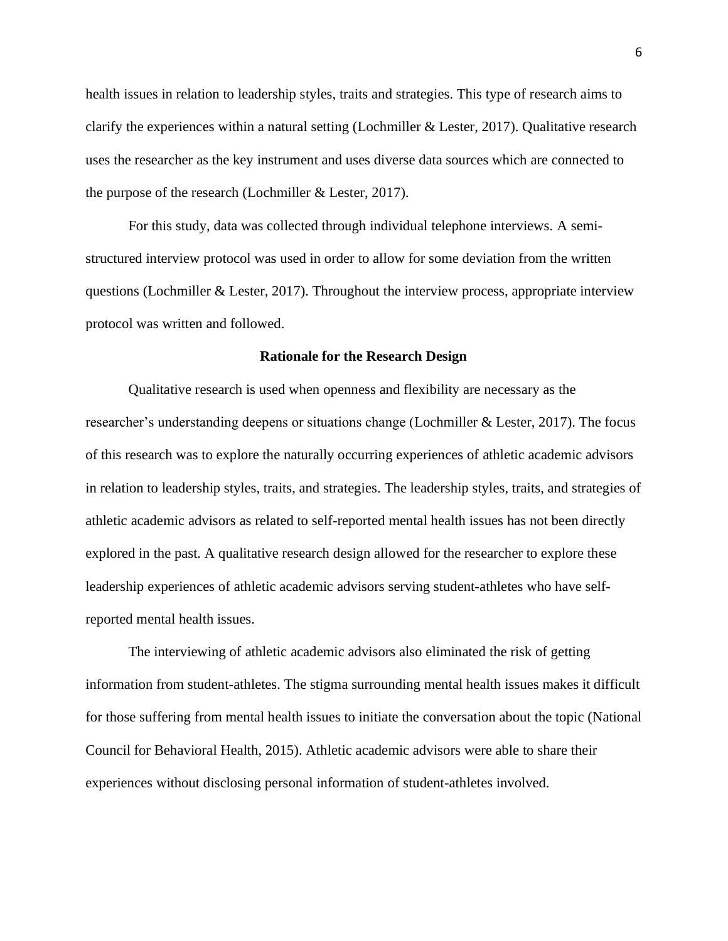health issues in relation to leadership styles, traits and strategies. This type of research aims to clarify the experiences within a natural setting (Lochmiller & Lester, 2017). Qualitative research uses the researcher as the key instrument and uses diverse data sources which are connected to the purpose of the research (Lochmiller & Lester, 2017).

For this study, data was collected through individual telephone interviews. A semistructured interview protocol was used in order to allow for some deviation from the written questions (Lochmiller  $&$  Lester, 2017). Throughout the interview process, appropriate interview protocol was written and followed.

#### **Rationale for the Research Design**

Qualitative research is used when openness and flexibility are necessary as the researcher's understanding deepens or situations change (Lochmiller & Lester, 2017). The focus of this research was to explore the naturally occurring experiences of athletic academic advisors in relation to leadership styles, traits, and strategies. The leadership styles, traits, and strategies of athletic academic advisors as related to self-reported mental health issues has not been directly explored in the past. A qualitative research design allowed for the researcher to explore these leadership experiences of athletic academic advisors serving student-athletes who have selfreported mental health issues.

The interviewing of athletic academic advisors also eliminated the risk of getting information from student-athletes. The stigma surrounding mental health issues makes it difficult for those suffering from mental health issues to initiate the conversation about the topic (National Council for Behavioral Health, 2015). Athletic academic advisors were able to share their experiences without disclosing personal information of student-athletes involved.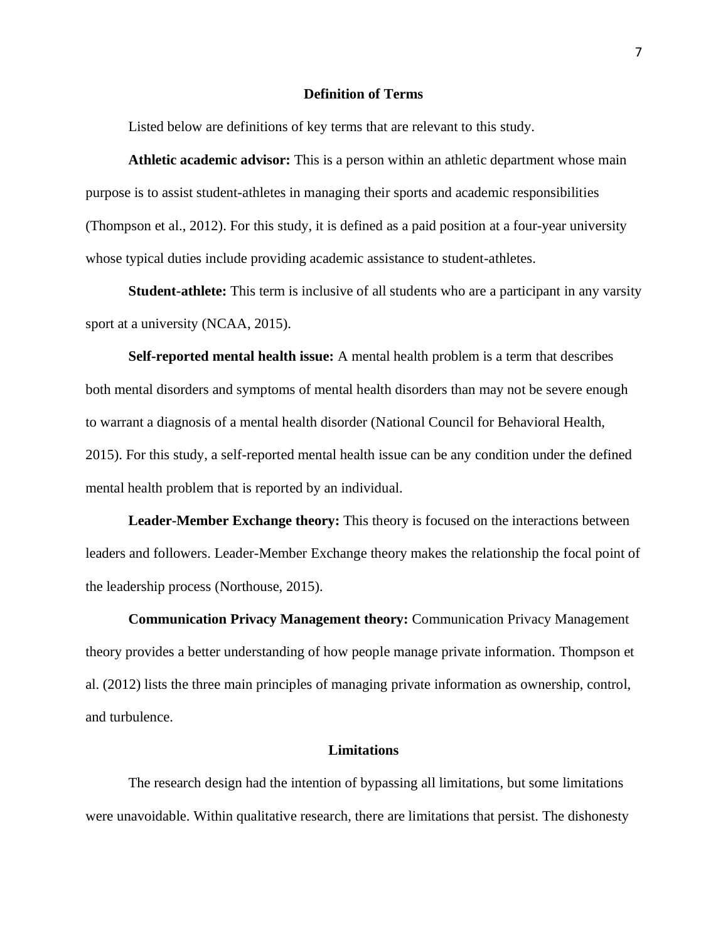### **Definition of Terms**

Listed below are definitions of key terms that are relevant to this study.

**Athletic academic advisor:** This is a person within an athletic department whose main purpose is to assist student-athletes in managing their sports and academic responsibilities (Thompson et al., 2012). For this study, it is defined as a paid position at a four-year university whose typical duties include providing academic assistance to student-athletes.

**Student-athlete:** This term is inclusive of all students who are a participant in any varsity sport at a university (NCAA, 2015).

**Self-reported mental health issue:** A mental health problem is a term that describes both mental disorders and symptoms of mental health disorders than may not be severe enough to warrant a diagnosis of a mental health disorder (National Council for Behavioral Health, 2015). For this study, a self-reported mental health issue can be any condition under the defined mental health problem that is reported by an individual.

**Leader-Member Exchange theory:** This theory is focused on the interactions between leaders and followers. Leader-Member Exchange theory makes the relationship the focal point of the leadership process (Northouse, 2015).

**Communication Privacy Management theory:** Communication Privacy Management theory provides a better understanding of how people manage private information. Thompson et al. (2012) lists the three main principles of managing private information as ownership, control, and turbulence.

#### **Limitations**

The research design had the intention of bypassing all limitations, but some limitations were unavoidable. Within qualitative research, there are limitations that persist. The dishonesty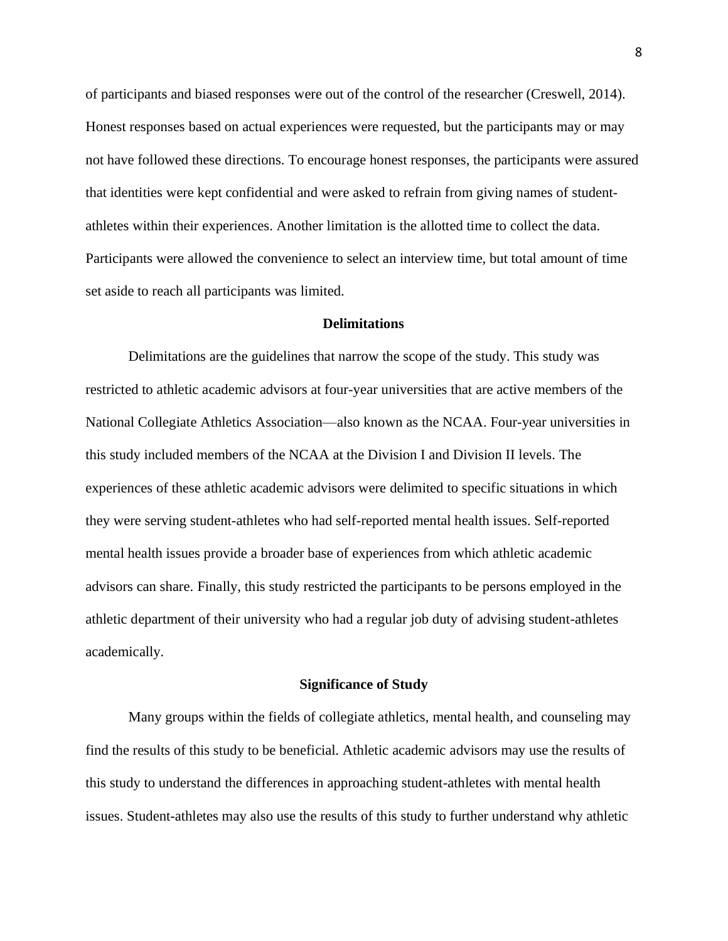of participants and biased responses were out of the control of the researcher (Creswell, 2014). Honest responses based on actual experiences were requested, but the participants may or may not have followed these directions. To encourage honest responses, the participants were assured that identities were kept confidential and were asked to refrain from giving names of studentathletes within their experiences. Another limitation is the allotted time to collect the data. Participants were allowed the convenience to select an interview time, but total amount of time set aside to reach all participants was limited.

#### **Delimitations**

Delimitations are the guidelines that narrow the scope of the study. This study was restricted to athletic academic advisors at four-year universities that are active members of the National Collegiate Athletics Association—also known as the NCAA. Four-year universities in this study included members of the NCAA at the Division I and Division II levels. The experiences of these athletic academic advisors were delimited to specific situations in which they were serving student-athletes who had self-reported mental health issues. Self-reported mental health issues provide a broader base of experiences from which athletic academic advisors can share. Finally, this study restricted the participants to be persons employed in the athletic department of their university who had a regular job duty of advising student-athletes academically.

#### **Significance of Study**

Many groups within the fields of collegiate athletics, mental health, and counseling may find the results of this study to be beneficial. Athletic academic advisors may use the results of this study to understand the differences in approaching student-athletes with mental health issues. Student-athletes may also use the results of this study to further understand why athletic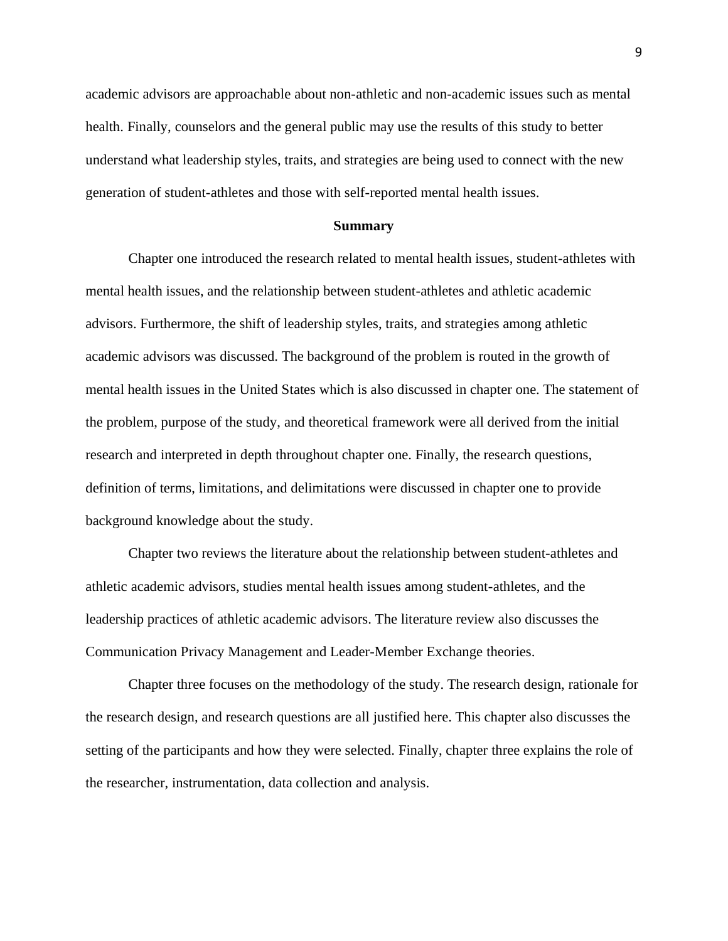academic advisors are approachable about non-athletic and non-academic issues such as mental health. Finally, counselors and the general public may use the results of this study to better understand what leadership styles, traits, and strategies are being used to connect with the new generation of student-athletes and those with self-reported mental health issues.

#### **Summary**

Chapter one introduced the research related to mental health issues, student-athletes with mental health issues, and the relationship between student-athletes and athletic academic advisors. Furthermore, the shift of leadership styles, traits, and strategies among athletic academic advisors was discussed. The background of the problem is routed in the growth of mental health issues in the United States which is also discussed in chapter one. The statement of the problem, purpose of the study, and theoretical framework were all derived from the initial research and interpreted in depth throughout chapter one. Finally, the research questions, definition of terms, limitations, and delimitations were discussed in chapter one to provide background knowledge about the study.

Chapter two reviews the literature about the relationship between student-athletes and athletic academic advisors, studies mental health issues among student-athletes, and the leadership practices of athletic academic advisors. The literature review also discusses the Communication Privacy Management and Leader-Member Exchange theories.

Chapter three focuses on the methodology of the study. The research design, rationale for the research design, and research questions are all justified here. This chapter also discusses the setting of the participants and how they were selected. Finally, chapter three explains the role of the researcher, instrumentation, data collection and analysis.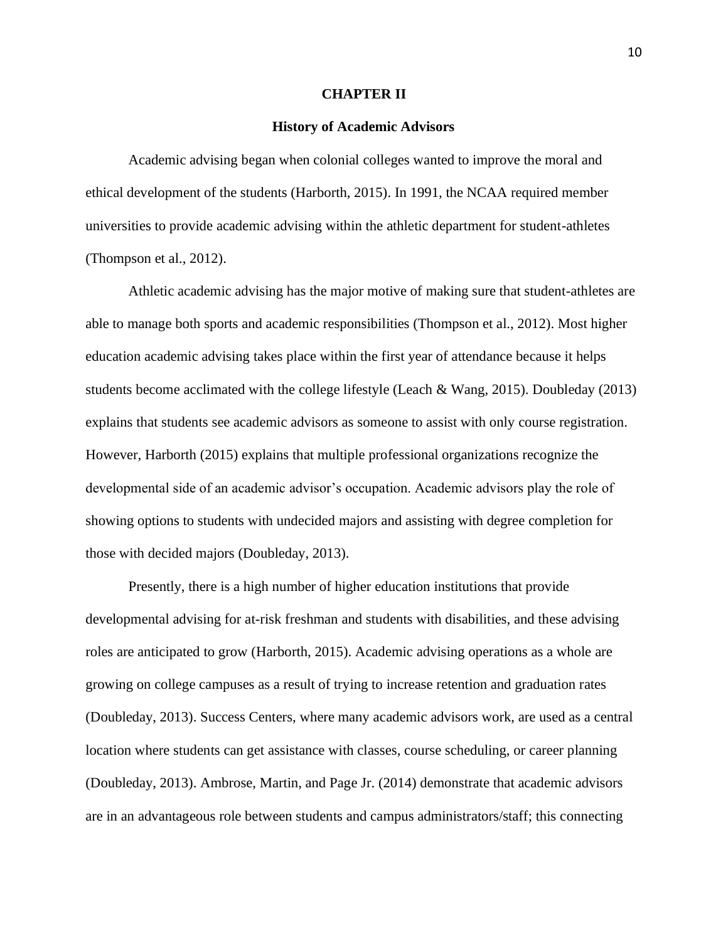#### **CHAPTER II**

#### **History of Academic Advisors**

Academic advising began when colonial colleges wanted to improve the moral and ethical development of the students (Harborth, 2015). In 1991, the NCAA required member universities to provide academic advising within the athletic department for student-athletes (Thompson et al., 2012).

Athletic academic advising has the major motive of making sure that student-athletes are able to manage both sports and academic responsibilities (Thompson et al., 2012). Most higher education academic advising takes place within the first year of attendance because it helps students become acclimated with the college lifestyle (Leach & Wang, 2015). Doubleday (2013) explains that students see academic advisors as someone to assist with only course registration. However, Harborth (2015) explains that multiple professional organizations recognize the developmental side of an academic advisor's occupation. Academic advisors play the role of showing options to students with undecided majors and assisting with degree completion for those with decided majors (Doubleday, 2013).

Presently, there is a high number of higher education institutions that provide developmental advising for at-risk freshman and students with disabilities, and these advising roles are anticipated to grow (Harborth, 2015). Academic advising operations as a whole are growing on college campuses as a result of trying to increase retention and graduation rates (Doubleday, 2013). Success Centers, where many academic advisors work, are used as a central location where students can get assistance with classes, course scheduling, or career planning (Doubleday, 2013). Ambrose, Martin, and Page Jr. (2014) demonstrate that academic advisors are in an advantageous role between students and campus administrators/staff; this connecting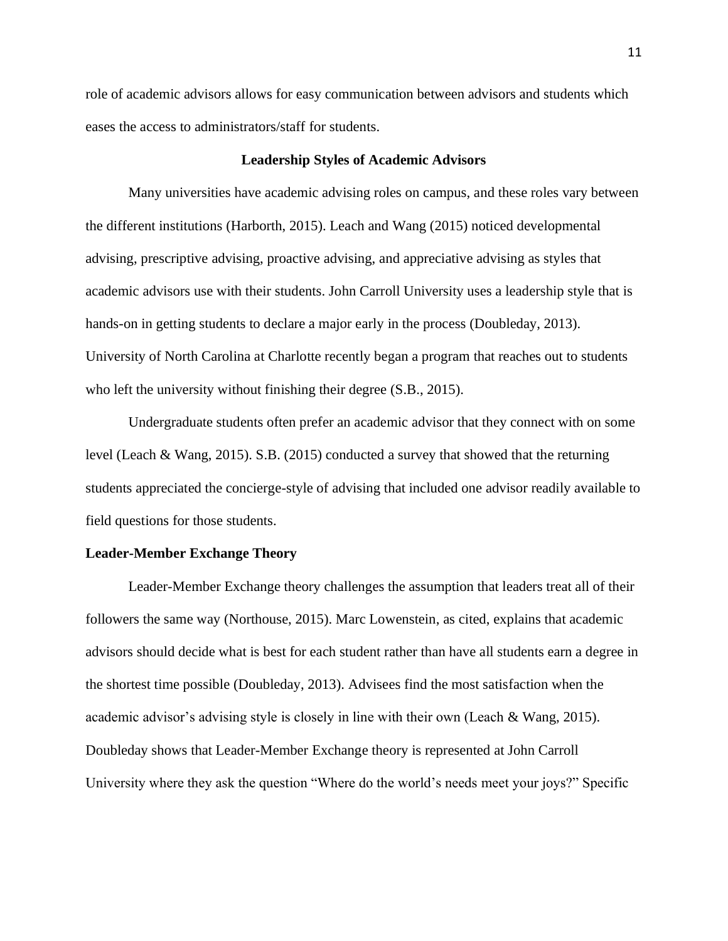role of academic advisors allows for easy communication between advisors and students which eases the access to administrators/staff for students.

## **Leadership Styles of Academic Advisors**

Many universities have academic advising roles on campus, and these roles vary between the different institutions (Harborth, 2015). Leach and Wang (2015) noticed developmental advising, prescriptive advising, proactive advising, and appreciative advising as styles that academic advisors use with their students. John Carroll University uses a leadership style that is hands-on in getting students to declare a major early in the process (Doubleday, 2013). University of North Carolina at Charlotte recently began a program that reaches out to students who left the university without finishing their degree (S.B., 2015).

Undergraduate students often prefer an academic advisor that they connect with on some level (Leach & Wang, 2015). S.B. (2015) conducted a survey that showed that the returning students appreciated the concierge-style of advising that included one advisor readily available to field questions for those students.

#### **Leader-Member Exchange Theory**

Leader-Member Exchange theory challenges the assumption that leaders treat all of their followers the same way (Northouse, 2015). Marc Lowenstein, as cited, explains that academic advisors should decide what is best for each student rather than have all students earn a degree in the shortest time possible (Doubleday, 2013). Advisees find the most satisfaction when the academic advisor's advising style is closely in line with their own (Leach & Wang, 2015). Doubleday shows that Leader-Member Exchange theory is represented at John Carroll University where they ask the question "Where do the world's needs meet your joys?" Specific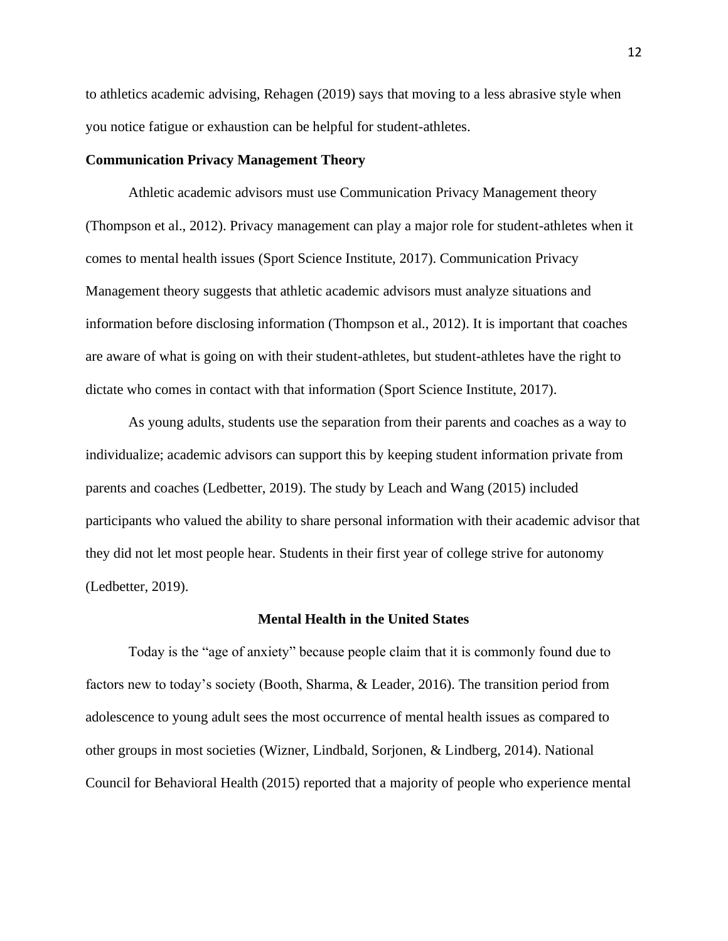to athletics academic advising, Rehagen (2019) says that moving to a less abrasive style when you notice fatigue or exhaustion can be helpful for student-athletes.

## **Communication Privacy Management Theory**

Athletic academic advisors must use Communication Privacy Management theory (Thompson et al., 2012). Privacy management can play a major role for student-athletes when it comes to mental health issues (Sport Science Institute, 2017). Communication Privacy Management theory suggests that athletic academic advisors must analyze situations and information before disclosing information (Thompson et al., 2012). It is important that coaches are aware of what is going on with their student-athletes, but student-athletes have the right to dictate who comes in contact with that information (Sport Science Institute, 2017).

As young adults, students use the separation from their parents and coaches as a way to individualize; academic advisors can support this by keeping student information private from parents and coaches (Ledbetter, 2019). The study by Leach and Wang (2015) included participants who valued the ability to share personal information with their academic advisor that they did not let most people hear. Students in their first year of college strive for autonomy (Ledbetter, 2019).

#### **Mental Health in the United States**

Today is the "age of anxiety" because people claim that it is commonly found due to factors new to today's society (Booth, Sharma, & Leader, 2016). The transition period from adolescence to young adult sees the most occurrence of mental health issues as compared to other groups in most societies (Wizner, Lindbald, Sorjonen, & Lindberg, 2014). National Council for Behavioral Health (2015) reported that a majority of people who experience mental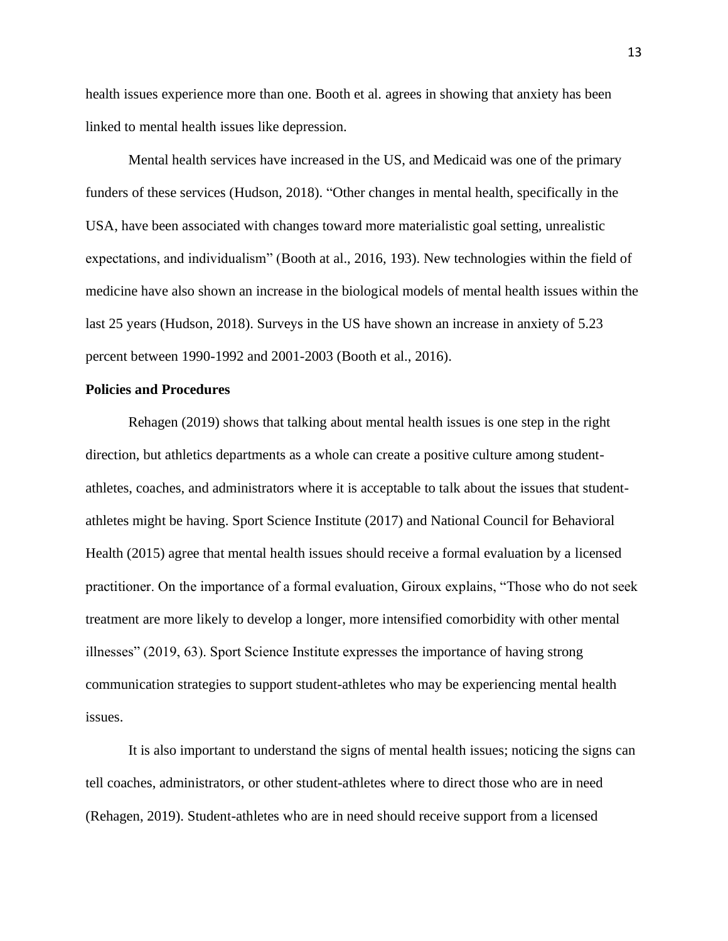health issues experience more than one. Booth et al. agrees in showing that anxiety has been linked to mental health issues like depression.

Mental health services have increased in the US, and Medicaid was one of the primary funders of these services (Hudson, 2018). "Other changes in mental health, specifically in the USA, have been associated with changes toward more materialistic goal setting, unrealistic expectations, and individualism" (Booth at al., 2016, 193). New technologies within the field of medicine have also shown an increase in the biological models of mental health issues within the last 25 years (Hudson, 2018). Surveys in the US have shown an increase in anxiety of 5.23 percent between 1990-1992 and 2001-2003 (Booth et al., 2016).

## **Policies and Procedures**

Rehagen (2019) shows that talking about mental health issues is one step in the right direction, but athletics departments as a whole can create a positive culture among studentathletes, coaches, and administrators where it is acceptable to talk about the issues that studentathletes might be having. Sport Science Institute (2017) and National Council for Behavioral Health (2015) agree that mental health issues should receive a formal evaluation by a licensed practitioner. On the importance of a formal evaluation, Giroux explains, "Those who do not seek treatment are more likely to develop a longer, more intensified comorbidity with other mental illnesses" (2019, 63). Sport Science Institute expresses the importance of having strong communication strategies to support student-athletes who may be experiencing mental health issues.

It is also important to understand the signs of mental health issues; noticing the signs can tell coaches, administrators, or other student-athletes where to direct those who are in need (Rehagen, 2019). Student-athletes who are in need should receive support from a licensed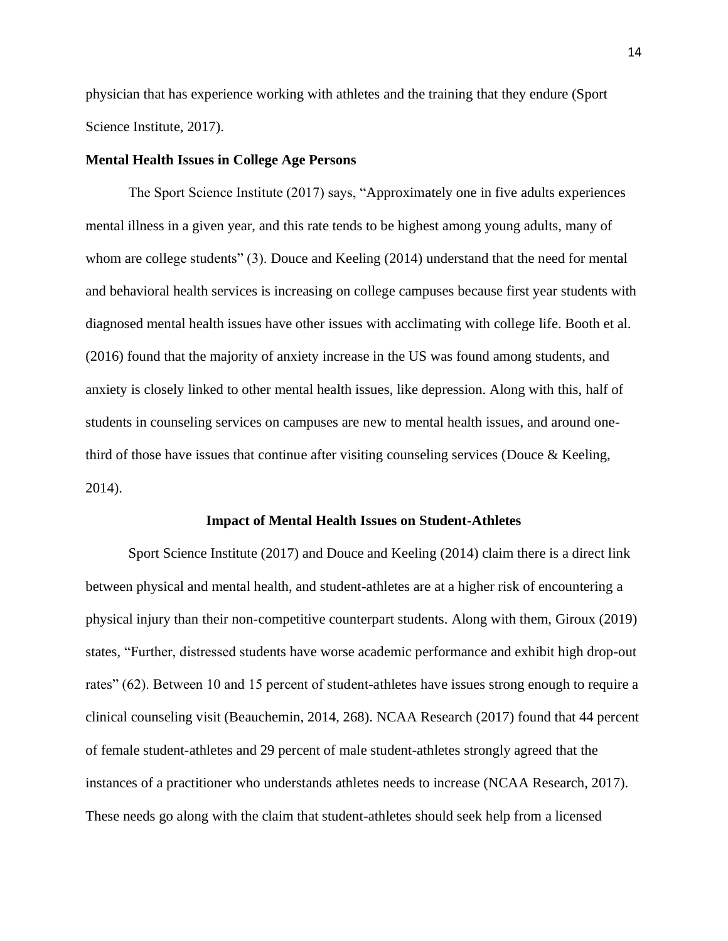physician that has experience working with athletes and the training that they endure (Sport Science Institute, 2017).

## **Mental Health Issues in College Age Persons**

The Sport Science Institute (2017) says, "Approximately one in five adults experiences mental illness in a given year, and this rate tends to be highest among young adults, many of whom are college students" (3). Douce and Keeling (2014) understand that the need for mental and behavioral health services is increasing on college campuses because first year students with diagnosed mental health issues have other issues with acclimating with college life. Booth et al. (2016) found that the majority of anxiety increase in the US was found among students, and anxiety is closely linked to other mental health issues, like depression. Along with this, half of students in counseling services on campuses are new to mental health issues, and around onethird of those have issues that continue after visiting counseling services (Douce & Keeling, 2014).

#### **Impact of Mental Health Issues on Student-Athletes**

Sport Science Institute (2017) and Douce and Keeling (2014) claim there is a direct link between physical and mental health, and student-athletes are at a higher risk of encountering a physical injury than their non-competitive counterpart students. Along with them, Giroux (2019) states, "Further, distressed students have worse academic performance and exhibit high drop-out rates" (62). Between 10 and 15 percent of student-athletes have issues strong enough to require a clinical counseling visit (Beauchemin, 2014, 268). NCAA Research (2017) found that 44 percent of female student-athletes and 29 percent of male student-athletes strongly agreed that the instances of a practitioner who understands athletes needs to increase (NCAA Research, 2017). These needs go along with the claim that student-athletes should seek help from a licensed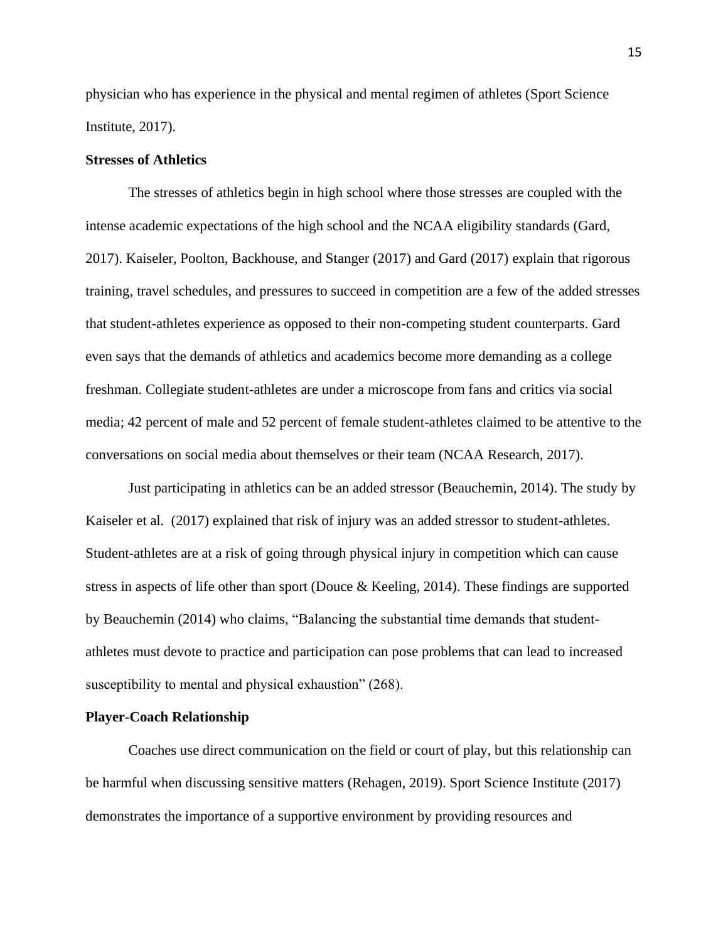physician who has experience in the physical and mental regimen of athletes (Sport Science Institute, 2017).

## **Stresses of Athletics**

The stresses of athletics begin in high school where those stresses are coupled with the intense academic expectations of the high school and the NCAA eligibility standards (Gard, 2017). Kaiseler, Poolton, Backhouse, and Stanger (2017) and Gard (2017) explain that rigorous training, travel schedules, and pressures to succeed in competition are a few of the added stresses that student-athletes experience as opposed to their non-competing student counterparts. Gard even says that the demands of athletics and academics become more demanding as a college freshman. Collegiate student-athletes are under a microscope from fans and critics via social media; 42 percent of male and 52 percent of female student-athletes claimed to be attentive to the conversations on social media about themselves or their team (NCAA Research, 2017).

Just participating in athletics can be an added stressor (Beauchemin, 2014). The study by Kaiseler et al. (2017) explained that risk of injury was an added stressor to student-athletes. Student-athletes are at a risk of going through physical injury in competition which can cause stress in aspects of life other than sport (Douce & Keeling, 2014). These findings are supported by Beauchemin (2014) who claims, "Balancing the substantial time demands that studentathletes must devote to practice and participation can pose problems that can lead to increased susceptibility to mental and physical exhaustion" (268).

#### **Player-Coach Relationship**

Coaches use direct communication on the field or court of play, but this relationship can be harmful when discussing sensitive matters (Rehagen, 2019). Sport Science Institute (2017) demonstrates the importance of a supportive environment by providing resources and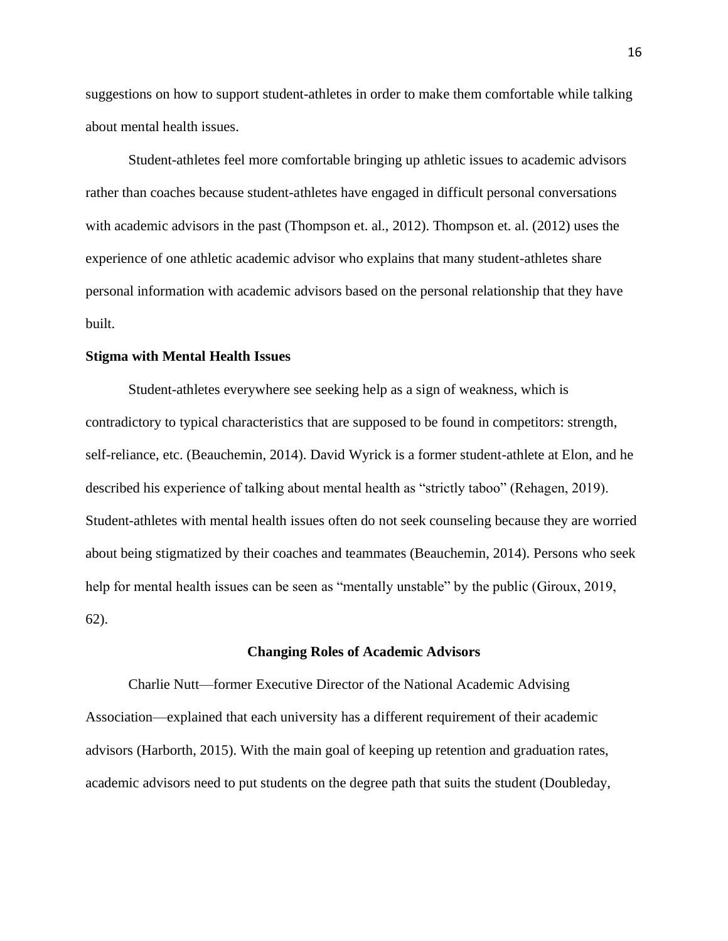suggestions on how to support student-athletes in order to make them comfortable while talking about mental health issues.

Student-athletes feel more comfortable bringing up athletic issues to academic advisors rather than coaches because student-athletes have engaged in difficult personal conversations with academic advisors in the past (Thompson et. al., 2012). Thompson et. al. (2012) uses the experience of one athletic academic advisor who explains that many student-athletes share personal information with academic advisors based on the personal relationship that they have built.

## **Stigma with Mental Health Issues**

Student-athletes everywhere see seeking help as a sign of weakness, which is contradictory to typical characteristics that are supposed to be found in competitors: strength, self-reliance, etc. (Beauchemin, 2014). David Wyrick is a former student-athlete at Elon, and he described his experience of talking about mental health as "strictly taboo" (Rehagen, 2019). Student-athletes with mental health issues often do not seek counseling because they are worried about being stigmatized by their coaches and teammates (Beauchemin, 2014). Persons who seek help for mental health issues can be seen as "mentally unstable" by the public (Giroux, 2019, 62).

#### **Changing Roles of Academic Advisors**

Charlie Nutt—former Executive Director of the National Academic Advising Association—explained that each university has a different requirement of their academic advisors (Harborth, 2015). With the main goal of keeping up retention and graduation rates, academic advisors need to put students on the degree path that suits the student (Doubleday,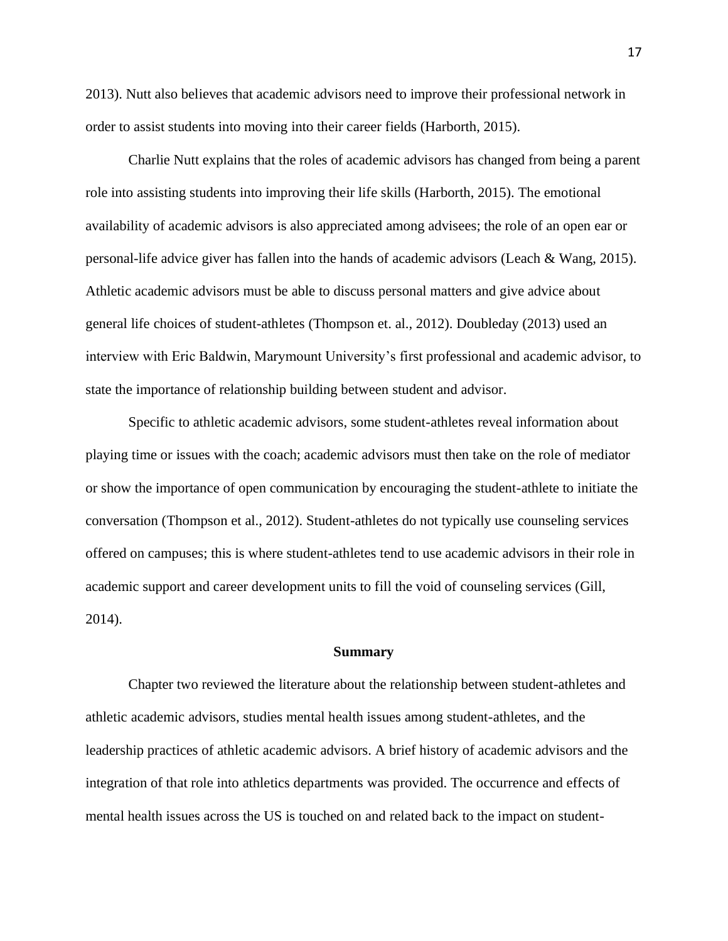2013). Nutt also believes that academic advisors need to improve their professional network in order to assist students into moving into their career fields (Harborth, 2015).

Charlie Nutt explains that the roles of academic advisors has changed from being a parent role into assisting students into improving their life skills (Harborth, 2015). The emotional availability of academic advisors is also appreciated among advisees; the role of an open ear or personal-life advice giver has fallen into the hands of academic advisors (Leach & Wang, 2015). Athletic academic advisors must be able to discuss personal matters and give advice about general life choices of student-athletes (Thompson et. al., 2012). Doubleday (2013) used an interview with Eric Baldwin, Marymount University's first professional and academic advisor, to state the importance of relationship building between student and advisor.

Specific to athletic academic advisors, some student-athletes reveal information about playing time or issues with the coach; academic advisors must then take on the role of mediator or show the importance of open communication by encouraging the student-athlete to initiate the conversation (Thompson et al., 2012). Student-athletes do not typically use counseling services offered on campuses; this is where student-athletes tend to use academic advisors in their role in academic support and career development units to fill the void of counseling services (Gill, 2014).

#### **Summary**

Chapter two reviewed the literature about the relationship between student-athletes and athletic academic advisors, studies mental health issues among student-athletes, and the leadership practices of athletic academic advisors. A brief history of academic advisors and the integration of that role into athletics departments was provided. The occurrence and effects of mental health issues across the US is touched on and related back to the impact on student-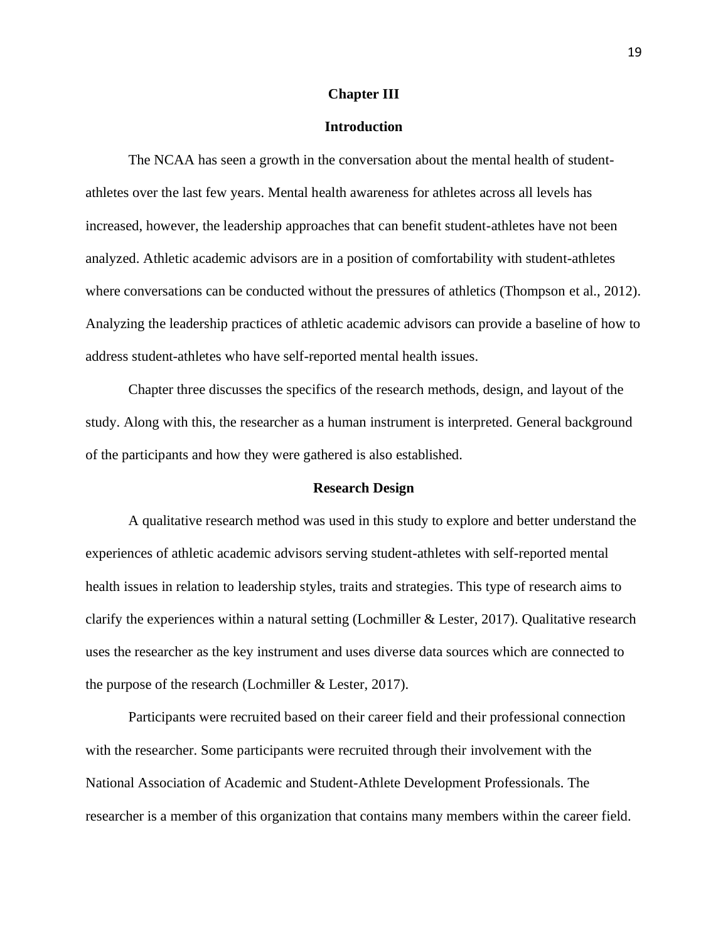#### **Chapter III**

## **Introduction**

The NCAA has seen a growth in the conversation about the mental health of studentathletes over the last few years. Mental health awareness for athletes across all levels has increased, however, the leadership approaches that can benefit student-athletes have not been analyzed. Athletic academic advisors are in a position of comfortability with student-athletes where conversations can be conducted without the pressures of athletics (Thompson et al., 2012). Analyzing the leadership practices of athletic academic advisors can provide a baseline of how to address student-athletes who have self-reported mental health issues.

Chapter three discusses the specifics of the research methods, design, and layout of the study. Along with this, the researcher as a human instrument is interpreted. General background of the participants and how they were gathered is also established.

#### **Research Design**

A qualitative research method was used in this study to explore and better understand the experiences of athletic academic advisors serving student-athletes with self-reported mental health issues in relation to leadership styles, traits and strategies. This type of research aims to clarify the experiences within a natural setting (Lochmiller & Lester, 2017). Qualitative research uses the researcher as the key instrument and uses diverse data sources which are connected to the purpose of the research (Lochmiller & Lester, 2017).

Participants were recruited based on their career field and their professional connection with the researcher. Some participants were recruited through their involvement with the National Association of Academic and Student-Athlete Development Professionals. The researcher is a member of this organization that contains many members within the career field.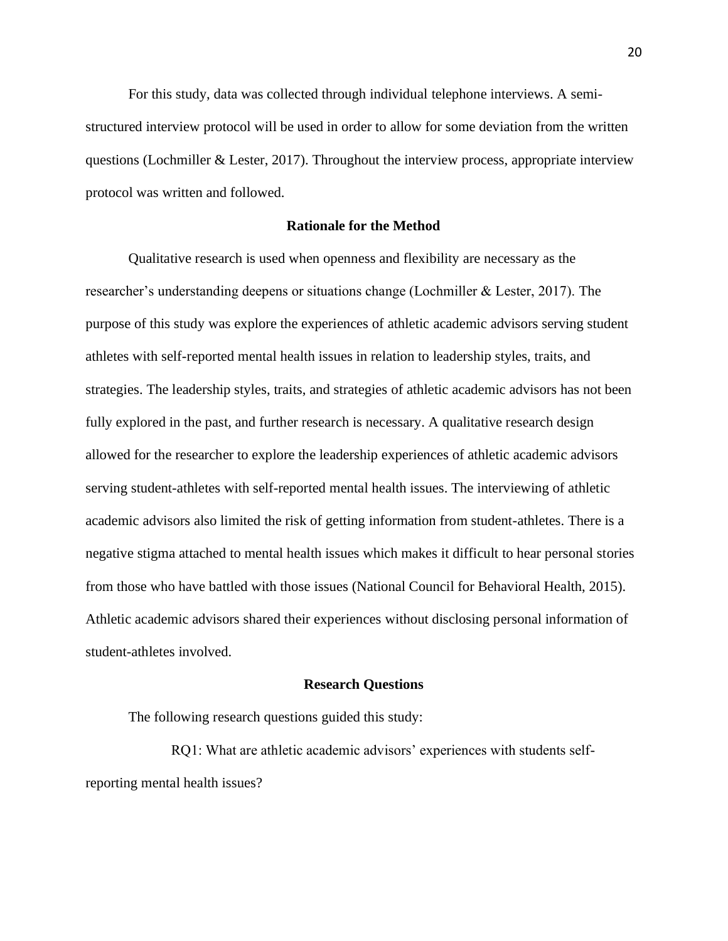For this study, data was collected through individual telephone interviews. A semistructured interview protocol will be used in order to allow for some deviation from the written questions (Lochmiller & Lester, 2017). Throughout the interview process, appropriate interview protocol was written and followed.

## **Rationale for the Method**

Qualitative research is used when openness and flexibility are necessary as the researcher's understanding deepens or situations change (Lochmiller & Lester, 2017). The purpose of this study was explore the experiences of athletic academic advisors serving student athletes with self-reported mental health issues in relation to leadership styles, traits, and strategies. The leadership styles, traits, and strategies of athletic academic advisors has not been fully explored in the past, and further research is necessary. A qualitative research design allowed for the researcher to explore the leadership experiences of athletic academic advisors serving student-athletes with self-reported mental health issues. The interviewing of athletic academic advisors also limited the risk of getting information from student-athletes. There is a negative stigma attached to mental health issues which makes it difficult to hear personal stories from those who have battled with those issues (National Council for Behavioral Health, 2015). Athletic academic advisors shared their experiences without disclosing personal information of student-athletes involved.

## **Research Questions**

The following research questions guided this study:

RQ1: What are athletic academic advisors' experiences with students selfreporting mental health issues?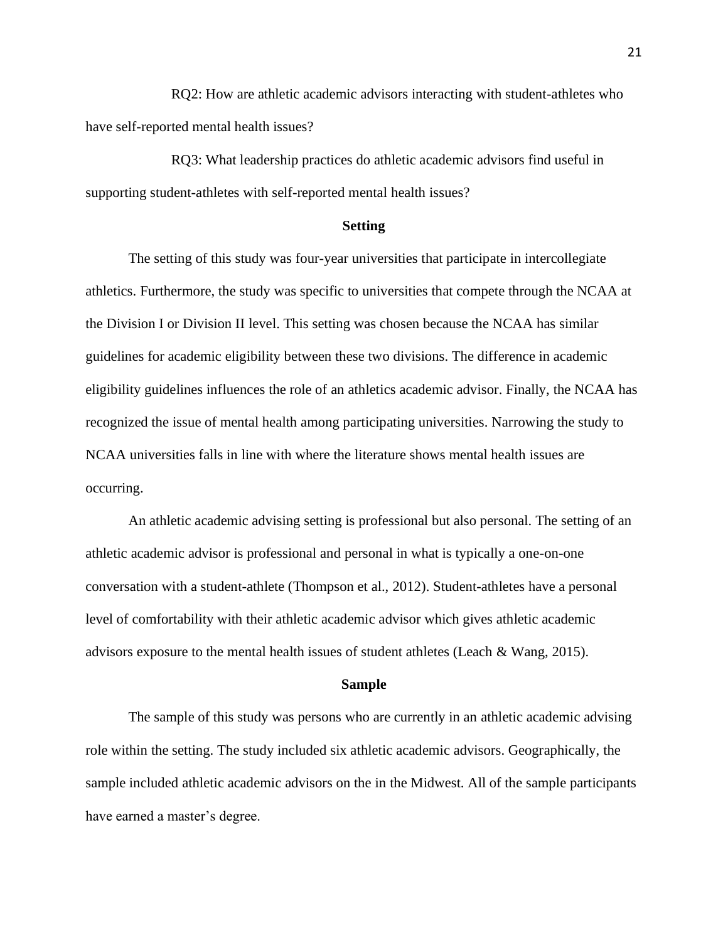RQ2: How are athletic academic advisors interacting with student-athletes who have self-reported mental health issues?

RQ3: What leadership practices do athletic academic advisors find useful in supporting student-athletes with self-reported mental health issues?

#### **Setting**

The setting of this study was four-year universities that participate in intercollegiate athletics. Furthermore, the study was specific to universities that compete through the NCAA at the Division I or Division II level. This setting was chosen because the NCAA has similar guidelines for academic eligibility between these two divisions. The difference in academic eligibility guidelines influences the role of an athletics academic advisor. Finally, the NCAA has recognized the issue of mental health among participating universities. Narrowing the study to NCAA universities falls in line with where the literature shows mental health issues are occurring.

An athletic academic advising setting is professional but also personal. The setting of an athletic academic advisor is professional and personal in what is typically a one-on-one conversation with a student-athlete (Thompson et al., 2012). Student-athletes have a personal level of comfortability with their athletic academic advisor which gives athletic academic advisors exposure to the mental health issues of student athletes (Leach & Wang, 2015).

## **Sample**

The sample of this study was persons who are currently in an athletic academic advising role within the setting. The study included six athletic academic advisors. Geographically, the sample included athletic academic advisors on the in the Midwest. All of the sample participants have earned a master's degree.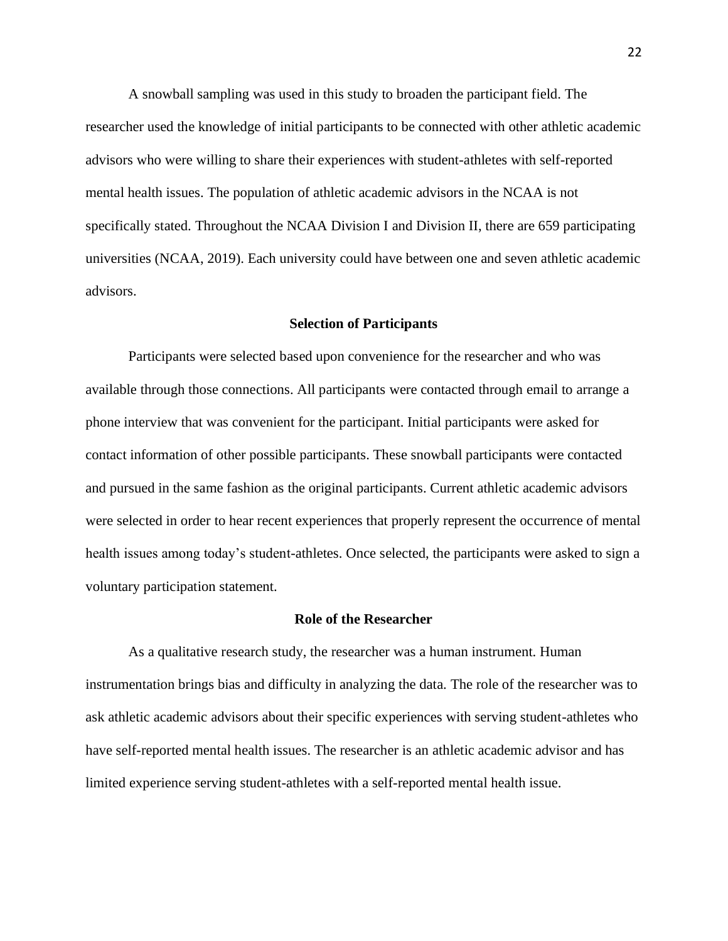A snowball sampling was used in this study to broaden the participant field. The researcher used the knowledge of initial participants to be connected with other athletic academic advisors who were willing to share their experiences with student-athletes with self-reported mental health issues. The population of athletic academic advisors in the NCAA is not specifically stated. Throughout the NCAA Division I and Division II, there are 659 participating universities (NCAA, 2019). Each university could have between one and seven athletic academic advisors.

#### **Selection of Participants**

Participants were selected based upon convenience for the researcher and who was available through those connections. All participants were contacted through email to arrange a phone interview that was convenient for the participant. Initial participants were asked for contact information of other possible participants. These snowball participants were contacted and pursued in the same fashion as the original participants. Current athletic academic advisors were selected in order to hear recent experiences that properly represent the occurrence of mental health issues among today's student-athletes. Once selected, the participants were asked to sign a voluntary participation statement.

#### **Role of the Researcher**

As a qualitative research study, the researcher was a human instrument. Human instrumentation brings bias and difficulty in analyzing the data. The role of the researcher was to ask athletic academic advisors about their specific experiences with serving student-athletes who have self-reported mental health issues. The researcher is an athletic academic advisor and has limited experience serving student-athletes with a self-reported mental health issue.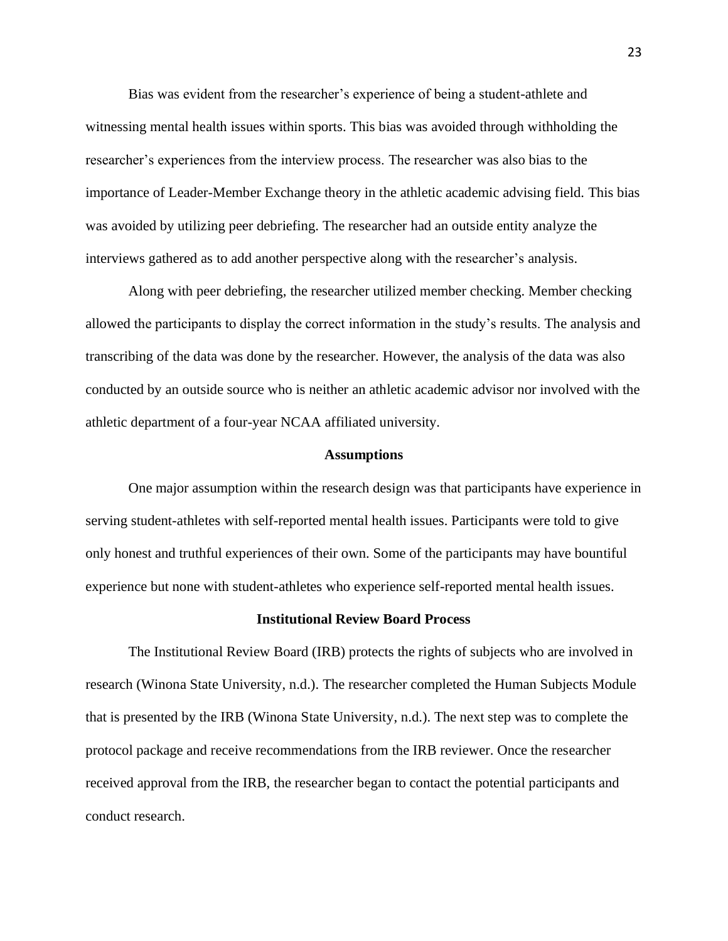Bias was evident from the researcher's experience of being a student-athlete and witnessing mental health issues within sports. This bias was avoided through withholding the researcher's experiences from the interview process. The researcher was also bias to the importance of Leader-Member Exchange theory in the athletic academic advising field. This bias was avoided by utilizing peer debriefing. The researcher had an outside entity analyze the interviews gathered as to add another perspective along with the researcher's analysis.

Along with peer debriefing, the researcher utilized member checking. Member checking allowed the participants to display the correct information in the study's results. The analysis and transcribing of the data was done by the researcher. However, the analysis of the data was also conducted by an outside source who is neither an athletic academic advisor nor involved with the athletic department of a four-year NCAA affiliated university.

#### **Assumptions**

One major assumption within the research design was that participants have experience in serving student-athletes with self-reported mental health issues. Participants were told to give only honest and truthful experiences of their own. Some of the participants may have bountiful experience but none with student-athletes who experience self-reported mental health issues.

#### **Institutional Review Board Process**

The Institutional Review Board (IRB) protects the rights of subjects who are involved in research (Winona State University, n.d.). The researcher completed the Human Subjects Module that is presented by the IRB (Winona State University, n.d.). The next step was to complete the protocol package and receive recommendations from the IRB reviewer. Once the researcher received approval from the IRB, the researcher began to contact the potential participants and conduct research.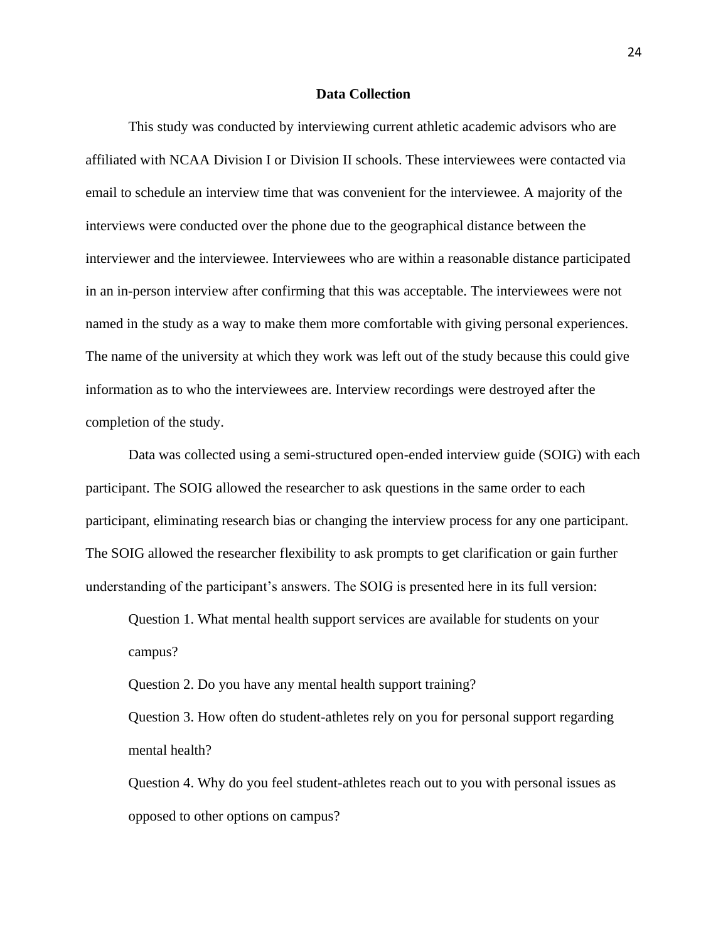#### **Data Collection**

This study was conducted by interviewing current athletic academic advisors who are affiliated with NCAA Division I or Division II schools. These interviewees were contacted via email to schedule an interview time that was convenient for the interviewee. A majority of the interviews were conducted over the phone due to the geographical distance between the interviewer and the interviewee. Interviewees who are within a reasonable distance participated in an in-person interview after confirming that this was acceptable. The interviewees were not named in the study as a way to make them more comfortable with giving personal experiences. The name of the university at which they work was left out of the study because this could give information as to who the interviewees are. Interview recordings were destroyed after the completion of the study.

Data was collected using a semi-structured open-ended interview guide (SOIG) with each participant. The SOIG allowed the researcher to ask questions in the same order to each participant, eliminating research bias or changing the interview process for any one participant. The SOIG allowed the researcher flexibility to ask prompts to get clarification or gain further understanding of the participant's answers. The SOIG is presented here in its full version:

Question 1. What mental health support services are available for students on your campus?

Question 2. Do you have any mental health support training?

Question 3. How often do student-athletes rely on you for personal support regarding mental health?

Question 4. Why do you feel student-athletes reach out to you with personal issues as opposed to other options on campus?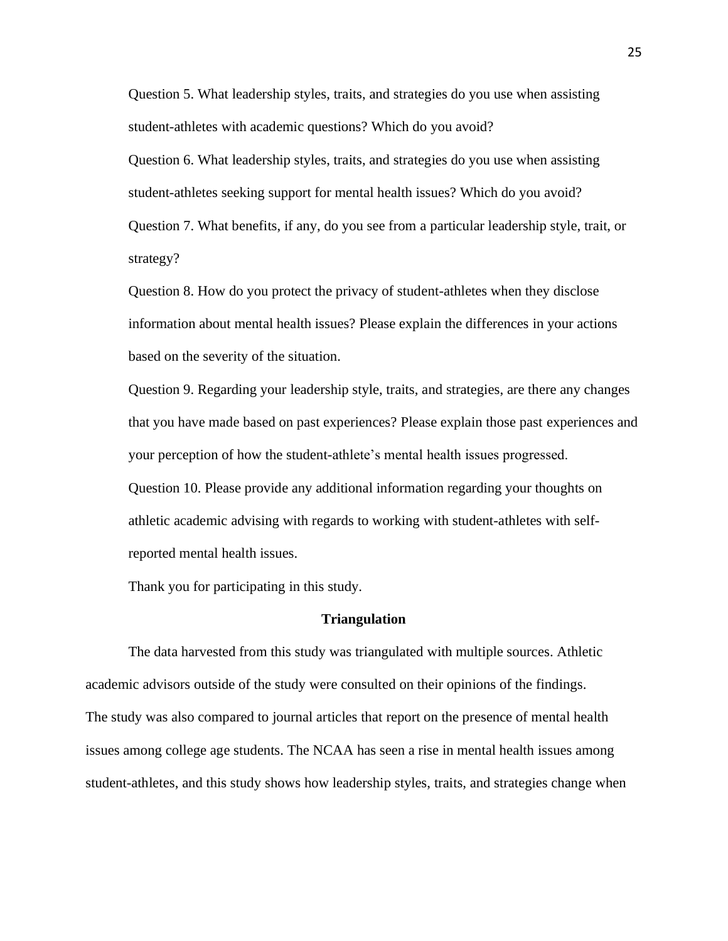Question 5. What leadership styles, traits, and strategies do you use when assisting student-athletes with academic questions? Which do you avoid?

Question 6. What leadership styles, traits, and strategies do you use when assisting student-athletes seeking support for mental health issues? Which do you avoid? Question 7. What benefits, if any, do you see from a particular leadership style, trait, or strategy?

Question 8. How do you protect the privacy of student-athletes when they disclose information about mental health issues? Please explain the differences in your actions based on the severity of the situation.

Question 9. Regarding your leadership style, traits, and strategies, are there any changes that you have made based on past experiences? Please explain those past experiences and your perception of how the student-athlete's mental health issues progressed. Question 10. Please provide any additional information regarding your thoughts on athletic academic advising with regards to working with student-athletes with selfreported mental health issues.

Thank you for participating in this study.

#### **Triangulation**

The data harvested from this study was triangulated with multiple sources. Athletic academic advisors outside of the study were consulted on their opinions of the findings. The study was also compared to journal articles that report on the presence of mental health issues among college age students. The NCAA has seen a rise in mental health issues among student-athletes, and this study shows how leadership styles, traits, and strategies change when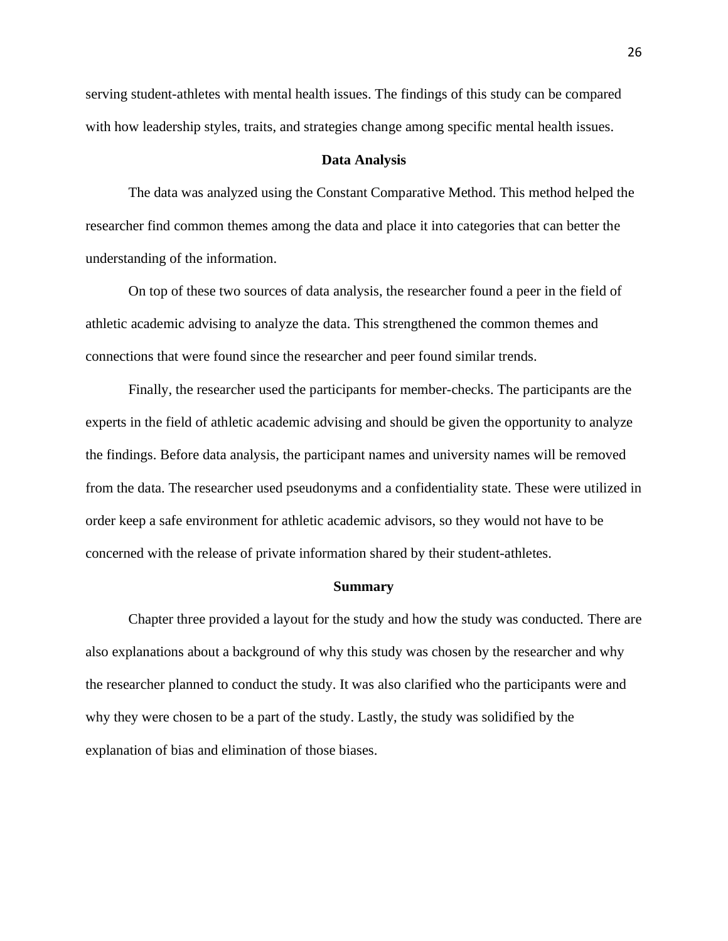serving student-athletes with mental health issues. The findings of this study can be compared with how leadership styles, traits, and strategies change among specific mental health issues.

#### **Data Analysis**

The data was analyzed using the Constant Comparative Method. This method helped the researcher find common themes among the data and place it into categories that can better the understanding of the information.

On top of these two sources of data analysis, the researcher found a peer in the field of athletic academic advising to analyze the data. This strengthened the common themes and connections that were found since the researcher and peer found similar trends.

Finally, the researcher used the participants for member-checks. The participants are the experts in the field of athletic academic advising and should be given the opportunity to analyze the findings. Before data analysis, the participant names and university names will be removed from the data. The researcher used pseudonyms and a confidentiality state. These were utilized in order keep a safe environment for athletic academic advisors, so they would not have to be concerned with the release of private information shared by their student-athletes.

#### **Summary**

Chapter three provided a layout for the study and how the study was conducted. There are also explanations about a background of why this study was chosen by the researcher and why the researcher planned to conduct the study. It was also clarified who the participants were and why they were chosen to be a part of the study. Lastly, the study was solidified by the explanation of bias and elimination of those biases.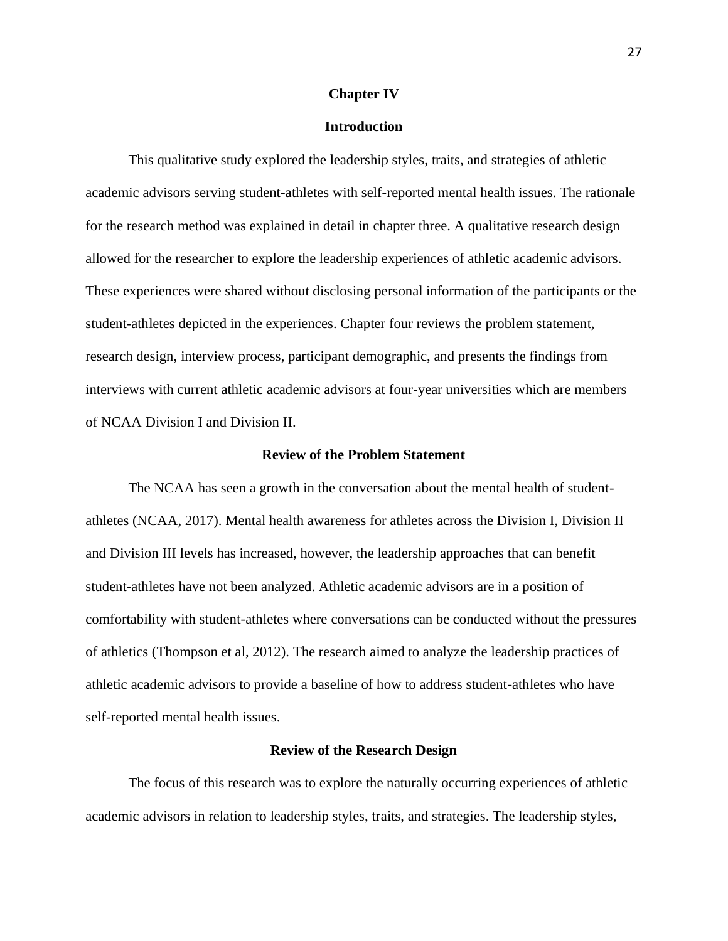#### **Chapter IV**

## **Introduction**

This qualitative study explored the leadership styles, traits, and strategies of athletic academic advisors serving student-athletes with self-reported mental health issues. The rationale for the research method was explained in detail in chapter three. A qualitative research design allowed for the researcher to explore the leadership experiences of athletic academic advisors. These experiences were shared without disclosing personal information of the participants or the student-athletes depicted in the experiences. Chapter four reviews the problem statement, research design, interview process, participant demographic, and presents the findings from interviews with current athletic academic advisors at four-year universities which are members of NCAA Division I and Division II.

#### **Review of the Problem Statement**

The NCAA has seen a growth in the conversation about the mental health of studentathletes (NCAA, 2017). Mental health awareness for athletes across the Division I, Division II and Division III levels has increased, however, the leadership approaches that can benefit student-athletes have not been analyzed. Athletic academic advisors are in a position of comfortability with student-athletes where conversations can be conducted without the pressures of athletics (Thompson et al, 2012). The research aimed to analyze the leadership practices of athletic academic advisors to provide a baseline of how to address student-athletes who have self-reported mental health issues.

#### **Review of the Research Design**

The focus of this research was to explore the naturally occurring experiences of athletic academic advisors in relation to leadership styles, traits, and strategies. The leadership styles,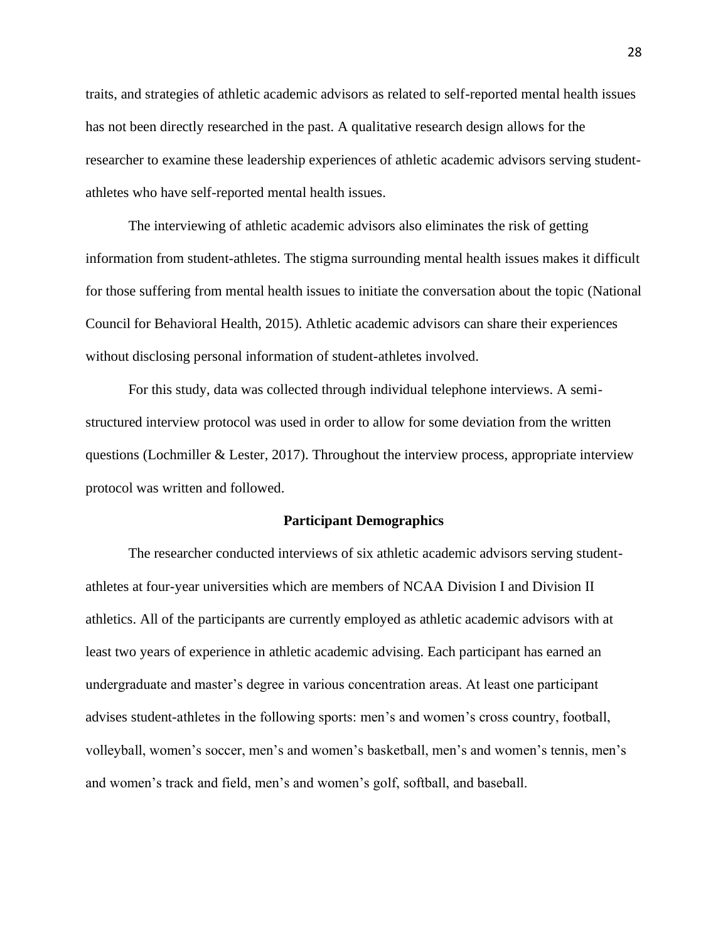traits, and strategies of athletic academic advisors as related to self-reported mental health issues has not been directly researched in the past. A qualitative research design allows for the researcher to examine these leadership experiences of athletic academic advisors serving studentathletes who have self-reported mental health issues.

The interviewing of athletic academic advisors also eliminates the risk of getting information from student-athletes. The stigma surrounding mental health issues makes it difficult for those suffering from mental health issues to initiate the conversation about the topic (National Council for Behavioral Health, 2015). Athletic academic advisors can share their experiences without disclosing personal information of student-athletes involved.

For this study, data was collected through individual telephone interviews. A semistructured interview protocol was used in order to allow for some deviation from the written questions (Lochmiller & Lester, 2017). Throughout the interview process, appropriate interview protocol was written and followed.

#### **Participant Demographics**

The researcher conducted interviews of six athletic academic advisors serving studentathletes at four-year universities which are members of NCAA Division I and Division II athletics. All of the participants are currently employed as athletic academic advisors with at least two years of experience in athletic academic advising. Each participant has earned an undergraduate and master's degree in various concentration areas. At least one participant advises student-athletes in the following sports: men's and women's cross country, football, volleyball, women's soccer, men's and women's basketball, men's and women's tennis, men's and women's track and field, men's and women's golf, softball, and baseball.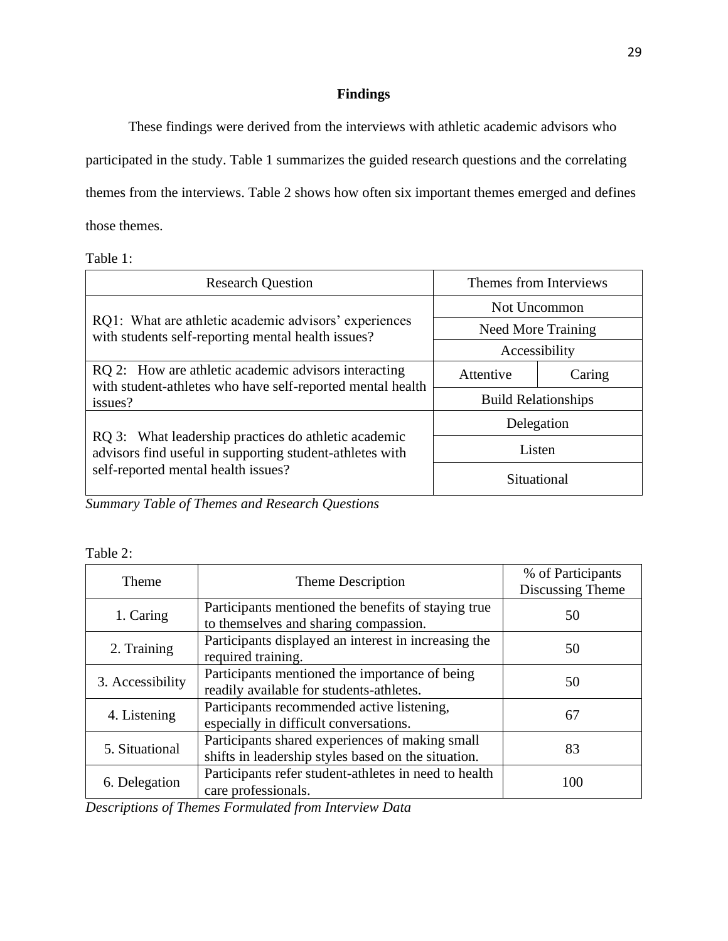## **Findings**

These findings were derived from the interviews with athletic academic advisors who participated in the study. Table 1 summarizes the guided research questions and the correlating themes from the interviews. Table 2 shows how often six important themes emerged and defines those themes.

Table 1:

| <b>Research Question</b>                                                                                           | Themes from Interviews     |        |
|--------------------------------------------------------------------------------------------------------------------|----------------------------|--------|
|                                                                                                                    | Not Uncommon               |        |
| RQ1: What are athletic academic advisors' experiences<br>with students self-reporting mental health issues?        | <b>Need More Training</b>  |        |
|                                                                                                                    | Accessibility              |        |
| RQ 2: How are athletic academic advisors interacting<br>with student-athletes who have self-reported mental health | Attentive                  | Caring |
| issues?                                                                                                            | <b>Build Relationships</b> |        |
|                                                                                                                    | Delegation                 |        |
| RQ 3: What leadership practices do athletic academic<br>advisors find useful in supporting student-athletes with   | Listen                     |        |
| self-reported mental health issues?                                                                                | Situational                |        |

*Summary Table of Themes and Research Questions*

| <b>Table</b> |  |
|--------------|--|
|--------------|--|

| Theme            | Theme Description                                                                                      | % of Participants<br>Discussing Theme |
|------------------|--------------------------------------------------------------------------------------------------------|---------------------------------------|
| 1. Caring        | Participants mentioned the benefits of staying true<br>to themselves and sharing compassion.           | 50                                    |
| 2. Training      | Participants displayed an interest in increasing the<br>required training.                             | 50                                    |
| 3. Accessibility | Participants mentioned the importance of being<br>readily available for students-athletes.             | 50                                    |
| 4. Listening     | Participants recommended active listening,<br>especially in difficult conversations.                   | 67                                    |
| 5. Situational   | Participants shared experiences of making small<br>shifts in leadership styles based on the situation. | 83                                    |
| 6. Delegation    | Participants refer student-athletes in need to health<br>care professionals.                           | 100                                   |

*Descriptions of Themes Formulated from Interview Data*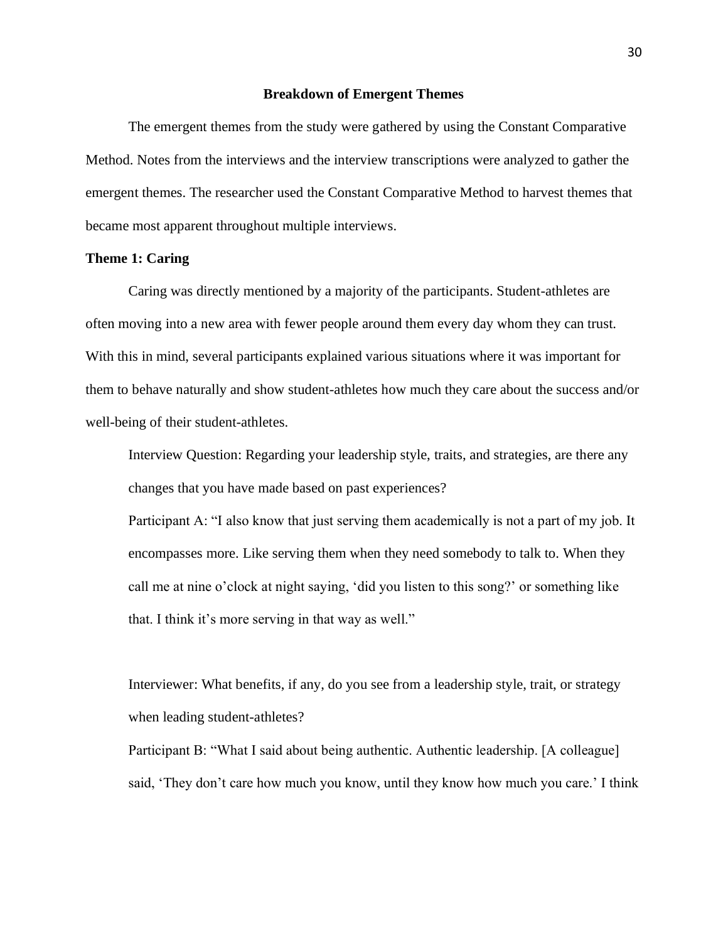#### **Breakdown of Emergent Themes**

The emergent themes from the study were gathered by using the Constant Comparative Method. Notes from the interviews and the interview transcriptions were analyzed to gather the emergent themes. The researcher used the Constant Comparative Method to harvest themes that became most apparent throughout multiple interviews.

## **Theme 1: Caring**

Caring was directly mentioned by a majority of the participants. Student-athletes are often moving into a new area with fewer people around them every day whom they can trust. With this in mind, several participants explained various situations where it was important for them to behave naturally and show student-athletes how much they care about the success and/or well-being of their student-athletes.

Interview Question: Regarding your leadership style, traits, and strategies, are there any changes that you have made based on past experiences?

Participant A: "I also know that just serving them academically is not a part of my job. It encompasses more. Like serving them when they need somebody to talk to. When they call me at nine o'clock at night saying, 'did you listen to this song?' or something like that. I think it's more serving in that way as well."

Interviewer: What benefits, if any, do you see from a leadership style, trait, or strategy when leading student-athletes?

Participant B: "What I said about being authentic. Authentic leadership. [A colleague] said, 'They don't care how much you know, until they know how much you care.' I think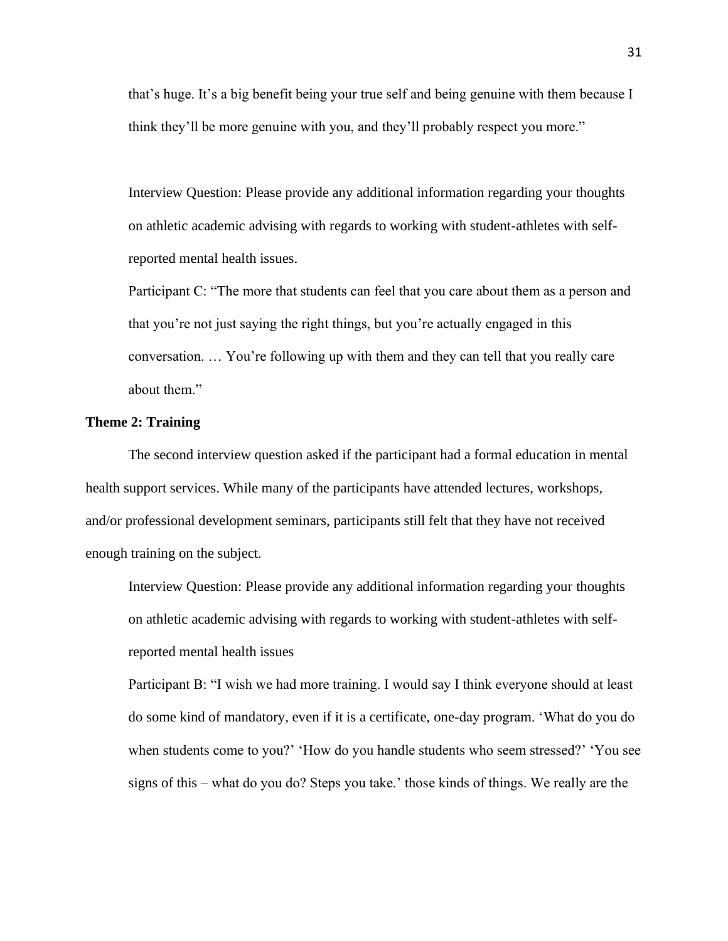that's huge. It's a big benefit being your true self and being genuine with them because I think they'll be more genuine with you, and they'll probably respect you more."

Interview Question: Please provide any additional information regarding your thoughts on athletic academic advising with regards to working with student-athletes with selfreported mental health issues.

Participant C: "The more that students can feel that you care about them as a person and that you're not just saying the right things, but you're actually engaged in this conversation. … You're following up with them and they can tell that you really care about them."

#### **Theme 2: Training**

The second interview question asked if the participant had a formal education in mental health support services. While many of the participants have attended lectures, workshops, and/or professional development seminars, participants still felt that they have not received enough training on the subject.

Interview Question: Please provide any additional information regarding your thoughts on athletic academic advising with regards to working with student-athletes with selfreported mental health issues

Participant B: "I wish we had more training. I would say I think everyone should at least do some kind of mandatory, even if it is a certificate, one-day program. 'What do you do when students come to you?' 'How do you handle students who seem stressed?' 'You see signs of this – what do you do? Steps you take.' those kinds of things. We really are the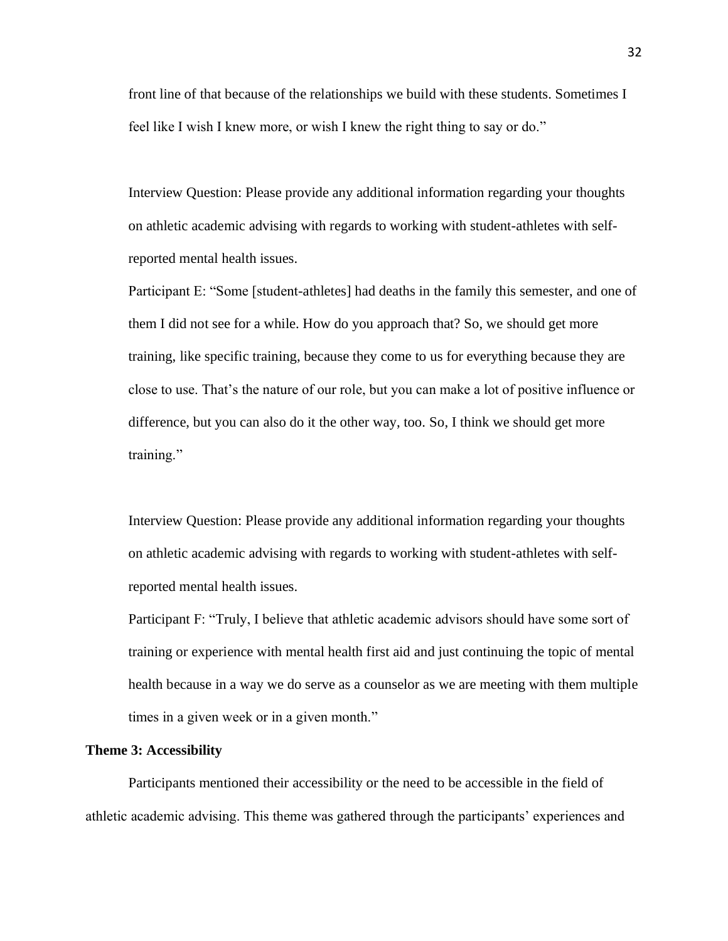front line of that because of the relationships we build with these students. Sometimes I feel like I wish I knew more, or wish I knew the right thing to say or do."

Interview Question: Please provide any additional information regarding your thoughts on athletic academic advising with regards to working with student-athletes with selfreported mental health issues.

Participant E: "Some [student-athletes] had deaths in the family this semester, and one of them I did not see for a while. How do you approach that? So, we should get more training, like specific training, because they come to us for everything because they are close to use. That's the nature of our role, but you can make a lot of positive influence or difference, but you can also do it the other way, too. So, I think we should get more training."

Interview Question: Please provide any additional information regarding your thoughts on athletic academic advising with regards to working with student-athletes with selfreported mental health issues.

Participant F: "Truly, I believe that athletic academic advisors should have some sort of training or experience with mental health first aid and just continuing the topic of mental health because in a way we do serve as a counselor as we are meeting with them multiple times in a given week or in a given month."

#### **Theme 3: Accessibility**

Participants mentioned their accessibility or the need to be accessible in the field of athletic academic advising. This theme was gathered through the participants' experiences and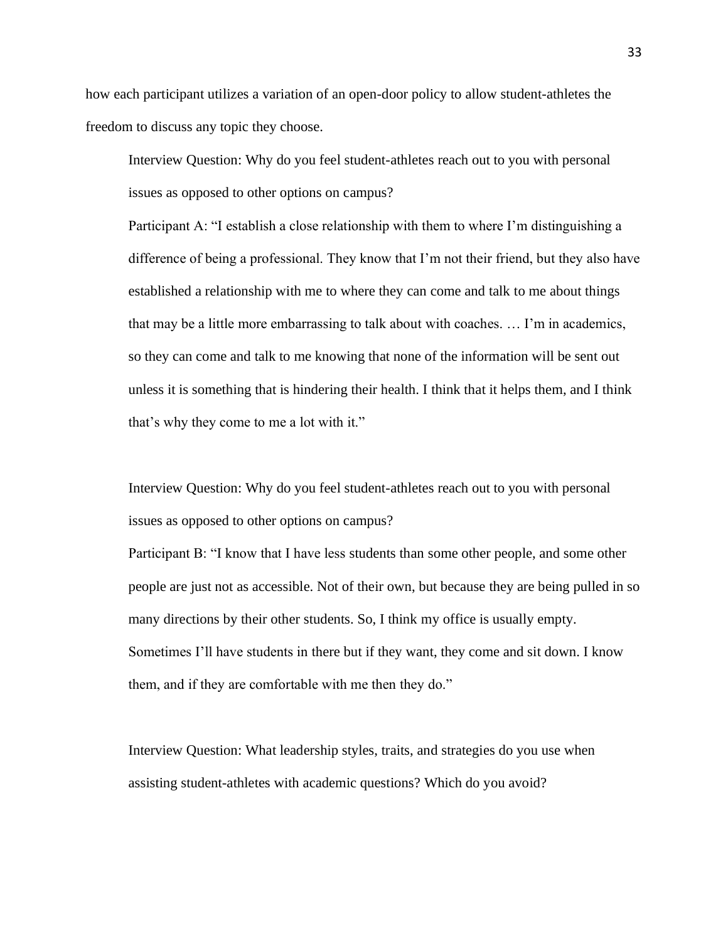how each participant utilizes a variation of an open-door policy to allow student-athletes the freedom to discuss any topic they choose.

Interview Question: Why do you feel student-athletes reach out to you with personal issues as opposed to other options on campus?

Participant A: "I establish a close relationship with them to where I'm distinguishing a difference of being a professional. They know that I'm not their friend, but they also have established a relationship with me to where they can come and talk to me about things that may be a little more embarrassing to talk about with coaches. … I'm in academics, so they can come and talk to me knowing that none of the information will be sent out unless it is something that is hindering their health. I think that it helps them, and I think that's why they come to me a lot with it."

Interview Question: Why do you feel student-athletes reach out to you with personal issues as opposed to other options on campus?

Participant B: "I know that I have less students than some other people, and some other people are just not as accessible. Not of their own, but because they are being pulled in so many directions by their other students. So, I think my office is usually empty. Sometimes I'll have students in there but if they want, they come and sit down. I know them, and if they are comfortable with me then they do."

Interview Question: What leadership styles, traits, and strategies do you use when assisting student-athletes with academic questions? Which do you avoid?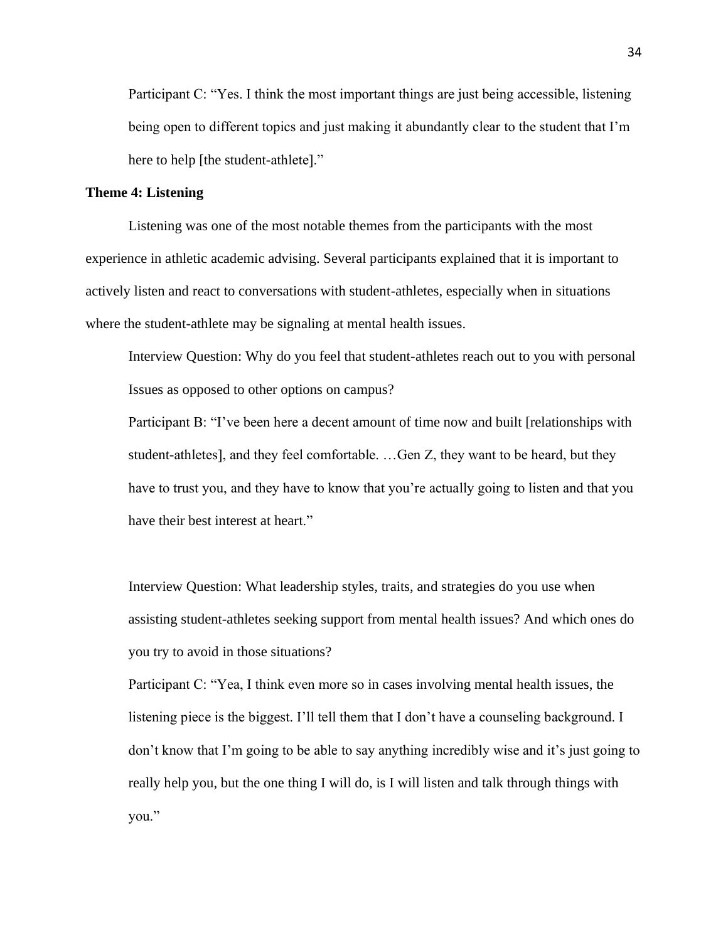Participant C: "Yes. I think the most important things are just being accessible, listening being open to different topics and just making it abundantly clear to the student that I'm here to help [the student-athlete]."

## **Theme 4: Listening**

Listening was one of the most notable themes from the participants with the most experience in athletic academic advising. Several participants explained that it is important to actively listen and react to conversations with student-athletes, especially when in situations where the student-athlete may be signaling at mental health issues.

Interview Question: Why do you feel that student-athletes reach out to you with personal Issues as opposed to other options on campus?

Participant B: "I've been here a decent amount of time now and built [relationships with student-athletes], and they feel comfortable. …Gen Z, they want to be heard, but they have to trust you, and they have to know that you're actually going to listen and that you have their best interest at heart."

Interview Question: What leadership styles, traits, and strategies do you use when assisting student-athletes seeking support from mental health issues? And which ones do you try to avoid in those situations?

Participant C: "Yea, I think even more so in cases involving mental health issues, the listening piece is the biggest. I'll tell them that I don't have a counseling background. I don't know that I'm going to be able to say anything incredibly wise and it's just going to really help you, but the one thing I will do, is I will listen and talk through things with you."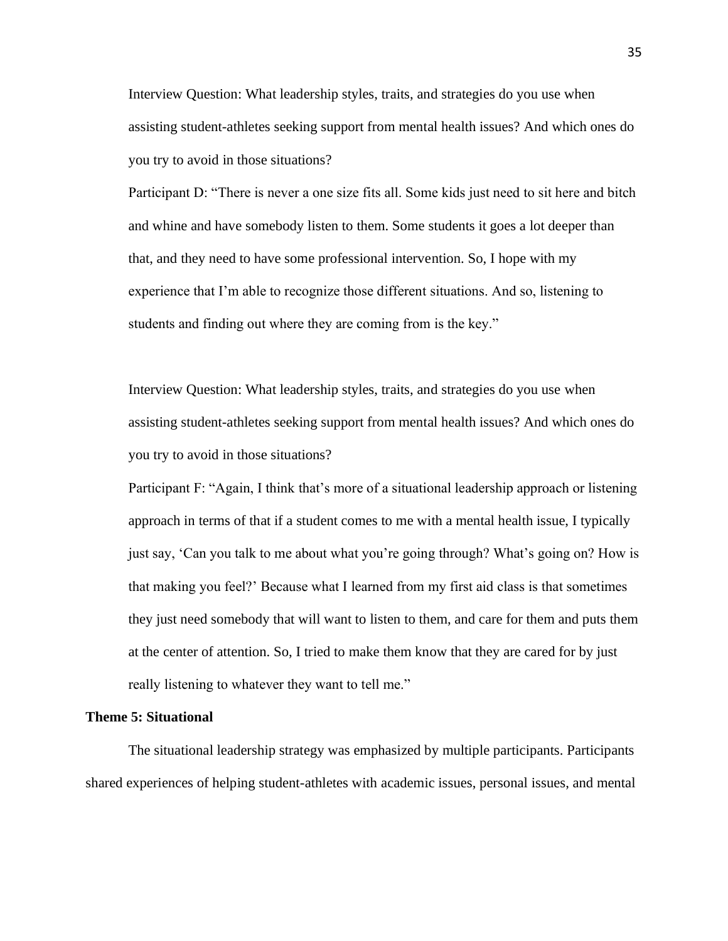Interview Question: What leadership styles, traits, and strategies do you use when assisting student-athletes seeking support from mental health issues? And which ones do you try to avoid in those situations?

Participant D: "There is never a one size fits all. Some kids just need to sit here and bitch and whine and have somebody listen to them. Some students it goes a lot deeper than that, and they need to have some professional intervention. So, I hope with my experience that I'm able to recognize those different situations. And so, listening to students and finding out where they are coming from is the key."

Interview Question: What leadership styles, traits, and strategies do you use when assisting student-athletes seeking support from mental health issues? And which ones do you try to avoid in those situations?

Participant F: "Again, I think that's more of a situational leadership approach or listening approach in terms of that if a student comes to me with a mental health issue, I typically just say, 'Can you talk to me about what you're going through? What's going on? How is that making you feel?' Because what I learned from my first aid class is that sometimes they just need somebody that will want to listen to them, and care for them and puts them at the center of attention. So, I tried to make them know that they are cared for by just really listening to whatever they want to tell me."

#### **Theme 5: Situational**

The situational leadership strategy was emphasized by multiple participants. Participants shared experiences of helping student-athletes with academic issues, personal issues, and mental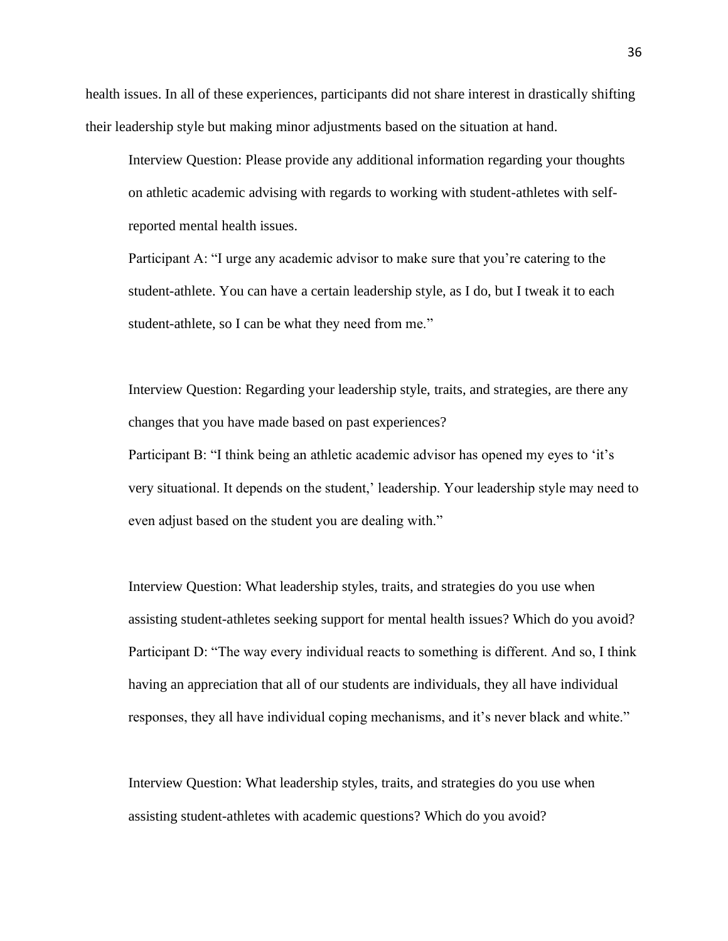health issues. In all of these experiences, participants did not share interest in drastically shifting their leadership style but making minor adjustments based on the situation at hand.

Interview Question: Please provide any additional information regarding your thoughts on athletic academic advising with regards to working with student-athletes with selfreported mental health issues.

Participant A: "I urge any academic advisor to make sure that you're catering to the student-athlete. You can have a certain leadership style, as I do, but I tweak it to each student-athlete, so I can be what they need from me."

Interview Question: Regarding your leadership style, traits, and strategies, are there any changes that you have made based on past experiences?

Participant B: "I think being an athletic academic advisor has opened my eyes to 'it's very situational. It depends on the student,' leadership. Your leadership style may need to even adjust based on the student you are dealing with."

Interview Question: What leadership styles, traits, and strategies do you use when assisting student-athletes seeking support for mental health issues? Which do you avoid? Participant D: "The way every individual reacts to something is different. And so, I think having an appreciation that all of our students are individuals, they all have individual responses, they all have individual coping mechanisms, and it's never black and white."

Interview Question: What leadership styles, traits, and strategies do you use when assisting student-athletes with academic questions? Which do you avoid?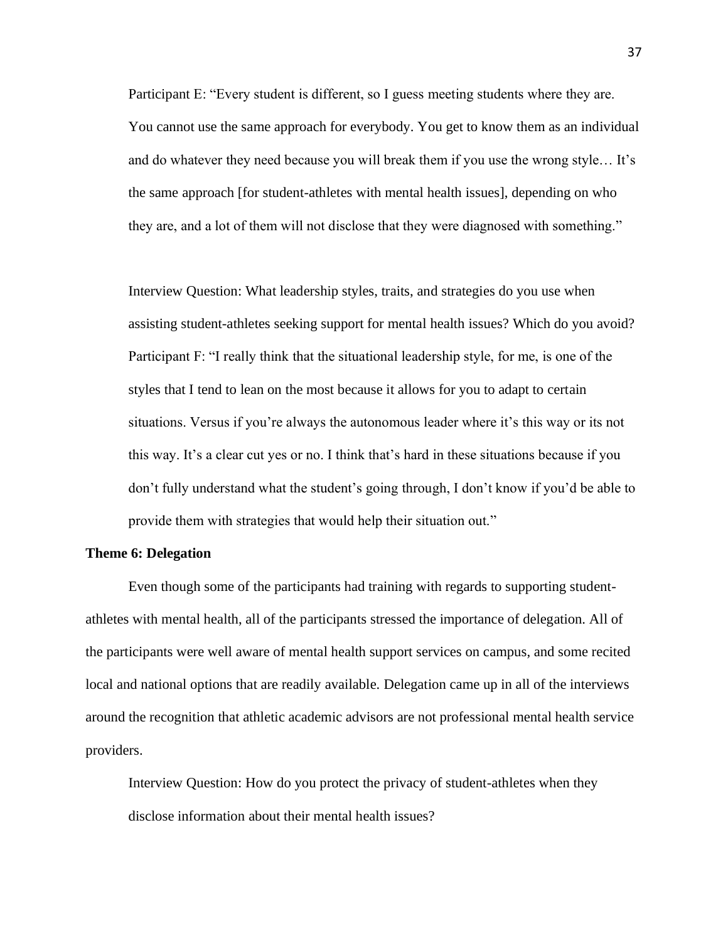Participant E: "Every student is different, so I guess meeting students where they are. You cannot use the same approach for everybody. You get to know them as an individual and do whatever they need because you will break them if you use the wrong style… It's the same approach [for student-athletes with mental health issues], depending on who they are, and a lot of them will not disclose that they were diagnosed with something."

Interview Question: What leadership styles, traits, and strategies do you use when assisting student-athletes seeking support for mental health issues? Which do you avoid? Participant F: "I really think that the situational leadership style, for me, is one of the styles that I tend to lean on the most because it allows for you to adapt to certain situations. Versus if you're always the autonomous leader where it's this way or its not this way. It's a clear cut yes or no. I think that's hard in these situations because if you don't fully understand what the student's going through, I don't know if you'd be able to provide them with strategies that would help their situation out."

#### **Theme 6: Delegation**

Even though some of the participants had training with regards to supporting studentathletes with mental health, all of the participants stressed the importance of delegation. All of the participants were well aware of mental health support services on campus, and some recited local and national options that are readily available. Delegation came up in all of the interviews around the recognition that athletic academic advisors are not professional mental health service providers.

Interview Question: How do you protect the privacy of student-athletes when they disclose information about their mental health issues?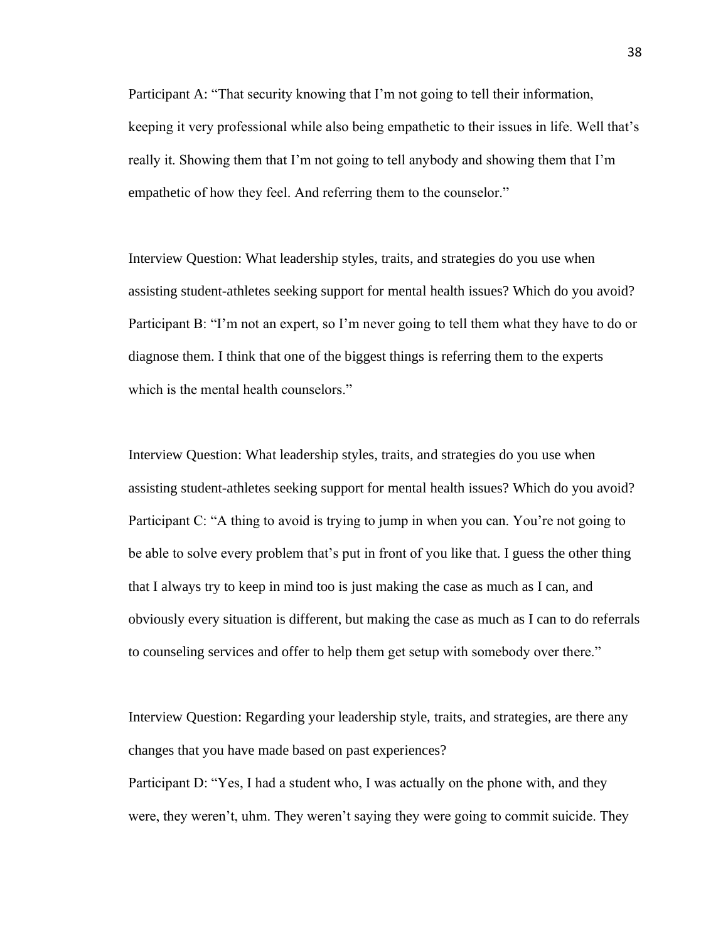Participant A: "That security knowing that I'm not going to tell their information, keeping it very professional while also being empathetic to their issues in life. Well that's really it. Showing them that I'm not going to tell anybody and showing them that I'm empathetic of how they feel. And referring them to the counselor."

Interview Question: What leadership styles, traits, and strategies do you use when assisting student-athletes seeking support for mental health issues? Which do you avoid? Participant B: "I'm not an expert, so I'm never going to tell them what they have to do or diagnose them. I think that one of the biggest things is referring them to the experts which is the mental health counselors."

Interview Question: What leadership styles, traits, and strategies do you use when assisting student-athletes seeking support for mental health issues? Which do you avoid? Participant C: "A thing to avoid is trying to jump in when you can. You're not going to be able to solve every problem that's put in front of you like that. I guess the other thing that I always try to keep in mind too is just making the case as much as I can, and obviously every situation is different, but making the case as much as I can to do referrals to counseling services and offer to help them get setup with somebody over there."

Interview Question: Regarding your leadership style, traits, and strategies, are there any changes that you have made based on past experiences?

Participant D: "Yes, I had a student who, I was actually on the phone with, and they were, they weren't, uhm. They weren't saying they were going to commit suicide. They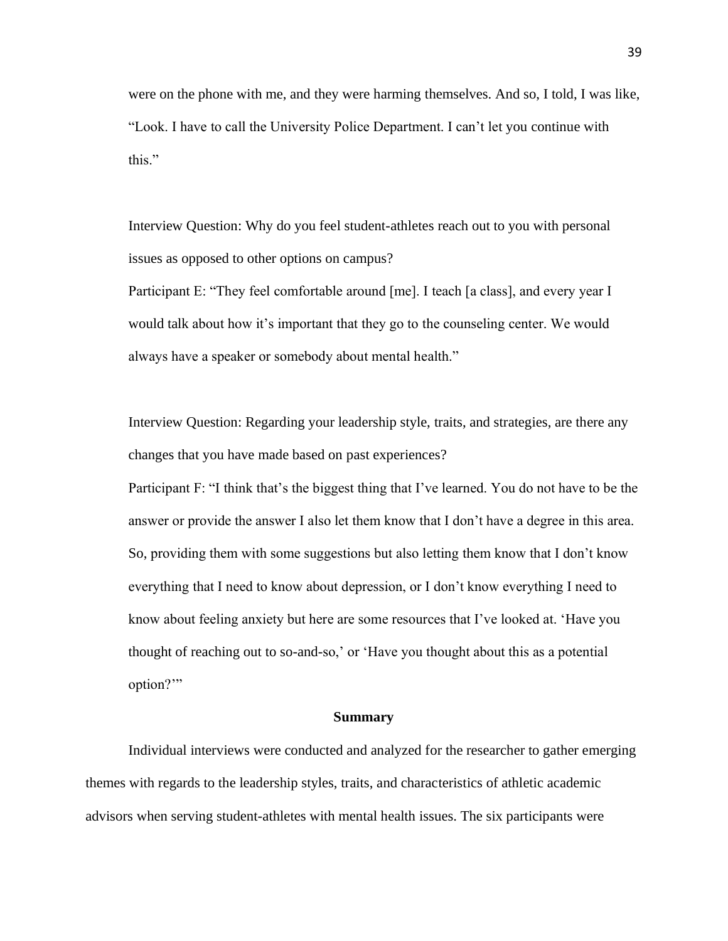were on the phone with me, and they were harming themselves. And so, I told, I was like, "Look. I have to call the University Police Department. I can't let you continue with this."

Interview Question: Why do you feel student-athletes reach out to you with personal issues as opposed to other options on campus?

Participant E: "They feel comfortable around [me]. I teach [a class], and every year I would talk about how it's important that they go to the counseling center. We would always have a speaker or somebody about mental health."

Interview Question: Regarding your leadership style, traits, and strategies, are there any changes that you have made based on past experiences?

Participant F: "I think that's the biggest thing that I've learned. You do not have to be the answer or provide the answer I also let them know that I don't have a degree in this area. So, providing them with some suggestions but also letting them know that I don't know everything that I need to know about depression, or I don't know everything I need to know about feeling anxiety but here are some resources that I've looked at. 'Have you thought of reaching out to so-and-so,' or 'Have you thought about this as a potential option?'"

#### **Summary**

Individual interviews were conducted and analyzed for the researcher to gather emerging themes with regards to the leadership styles, traits, and characteristics of athletic academic advisors when serving student-athletes with mental health issues. The six participants were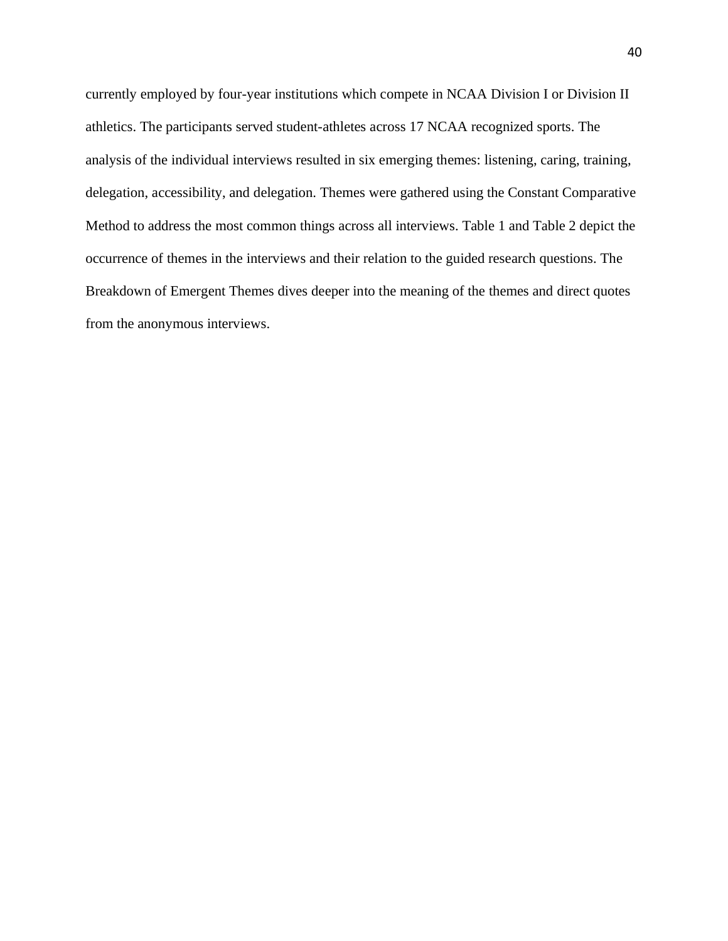currently employed by four-year institutions which compete in NCAA Division I or Division II athletics. The participants served student-athletes across 17 NCAA recognized sports. The analysis of the individual interviews resulted in six emerging themes: listening, caring, training, delegation, accessibility, and delegation. Themes were gathered using the Constant Comparative Method to address the most common things across all interviews. Table 1 and Table 2 depict the occurrence of themes in the interviews and their relation to the guided research questions. The Breakdown of Emergent Themes dives deeper into the meaning of the themes and direct quotes from the anonymous interviews.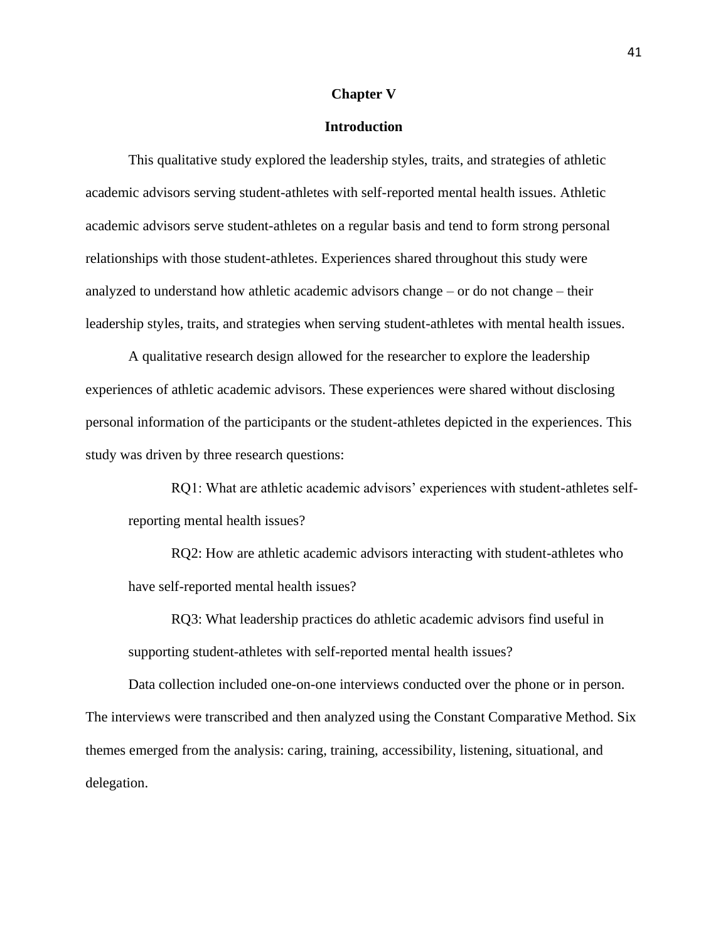#### **Chapter V**

## **Introduction**

This qualitative study explored the leadership styles, traits, and strategies of athletic academic advisors serving student-athletes with self-reported mental health issues. Athletic academic advisors serve student-athletes on a regular basis and tend to form strong personal relationships with those student-athletes. Experiences shared throughout this study were analyzed to understand how athletic academic advisors change – or do not change – their leadership styles, traits, and strategies when serving student-athletes with mental health issues.

A qualitative research design allowed for the researcher to explore the leadership experiences of athletic academic advisors. These experiences were shared without disclosing personal information of the participants or the student-athletes depicted in the experiences. This study was driven by three research questions:

RQ1: What are athletic academic advisors' experiences with student-athletes selfreporting mental health issues?

RQ2: How are athletic academic advisors interacting with student-athletes who have self-reported mental health issues?

RQ3: What leadership practices do athletic academic advisors find useful in supporting student-athletes with self-reported mental health issues?

Data collection included one-on-one interviews conducted over the phone or in person. The interviews were transcribed and then analyzed using the Constant Comparative Method. Six themes emerged from the analysis: caring, training, accessibility, listening, situational, and delegation.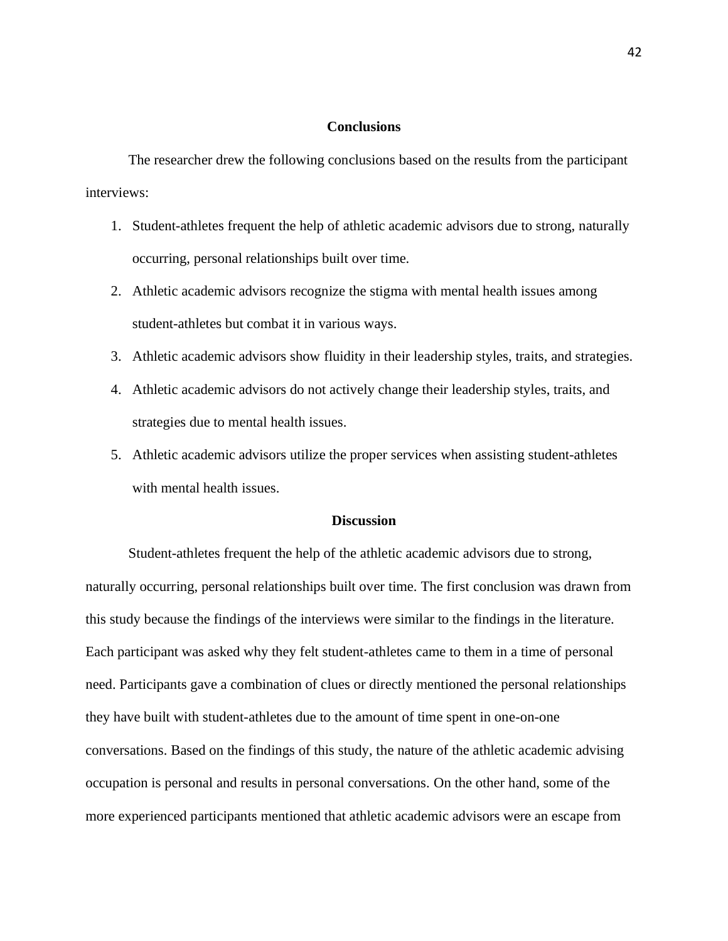## **Conclusions**

The researcher drew the following conclusions based on the results from the participant interviews:

- 1. Student-athletes frequent the help of athletic academic advisors due to strong, naturally occurring, personal relationships built over time.
- 2. Athletic academic advisors recognize the stigma with mental health issues among student-athletes but combat it in various ways.
- 3. Athletic academic advisors show fluidity in their leadership styles, traits, and strategies.
- 4. Athletic academic advisors do not actively change their leadership styles, traits, and strategies due to mental health issues.
- 5. Athletic academic advisors utilize the proper services when assisting student-athletes with mental health issues.

## **Discussion**

Student-athletes frequent the help of the athletic academic advisors due to strong, naturally occurring, personal relationships built over time. The first conclusion was drawn from this study because the findings of the interviews were similar to the findings in the literature. Each participant was asked why they felt student-athletes came to them in a time of personal need. Participants gave a combination of clues or directly mentioned the personal relationships they have built with student-athletes due to the amount of time spent in one-on-one conversations. Based on the findings of this study, the nature of the athletic academic advising occupation is personal and results in personal conversations. On the other hand, some of the more experienced participants mentioned that athletic academic advisors were an escape from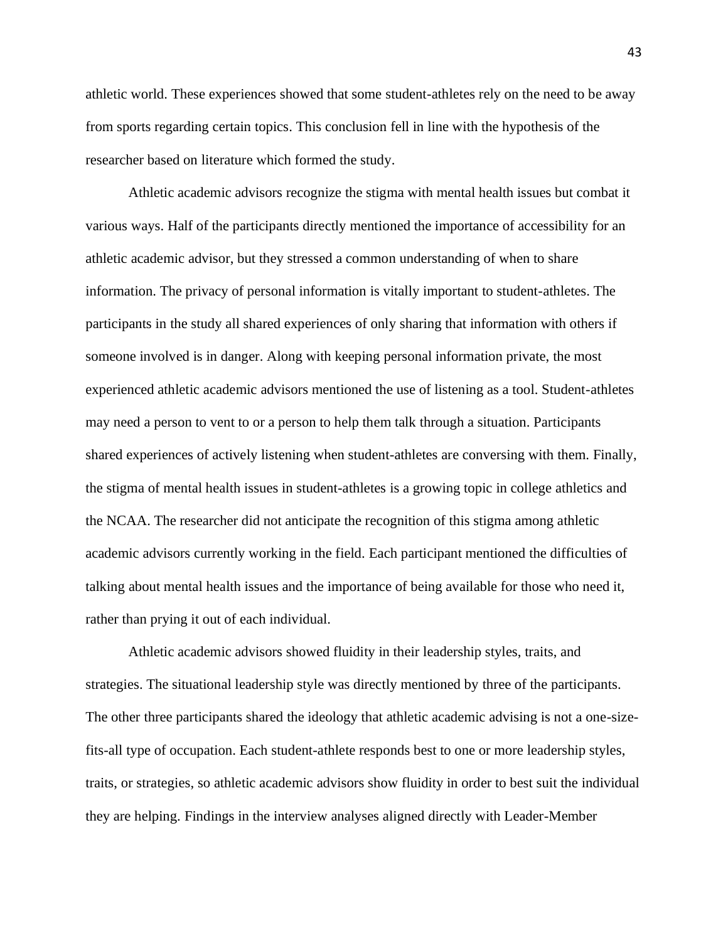athletic world. These experiences showed that some student-athletes rely on the need to be away from sports regarding certain topics. This conclusion fell in line with the hypothesis of the researcher based on literature which formed the study.

Athletic academic advisors recognize the stigma with mental health issues but combat it various ways. Half of the participants directly mentioned the importance of accessibility for an athletic academic advisor, but they stressed a common understanding of when to share information. The privacy of personal information is vitally important to student-athletes. The participants in the study all shared experiences of only sharing that information with others if someone involved is in danger. Along with keeping personal information private, the most experienced athletic academic advisors mentioned the use of listening as a tool. Student-athletes may need a person to vent to or a person to help them talk through a situation. Participants shared experiences of actively listening when student-athletes are conversing with them. Finally, the stigma of mental health issues in student-athletes is a growing topic in college athletics and the NCAA. The researcher did not anticipate the recognition of this stigma among athletic academic advisors currently working in the field. Each participant mentioned the difficulties of talking about mental health issues and the importance of being available for those who need it, rather than prying it out of each individual.

Athletic academic advisors showed fluidity in their leadership styles, traits, and strategies. The situational leadership style was directly mentioned by three of the participants. The other three participants shared the ideology that athletic academic advising is not a one-sizefits-all type of occupation. Each student-athlete responds best to one or more leadership styles, traits, or strategies, so athletic academic advisors show fluidity in order to best suit the individual they are helping. Findings in the interview analyses aligned directly with Leader-Member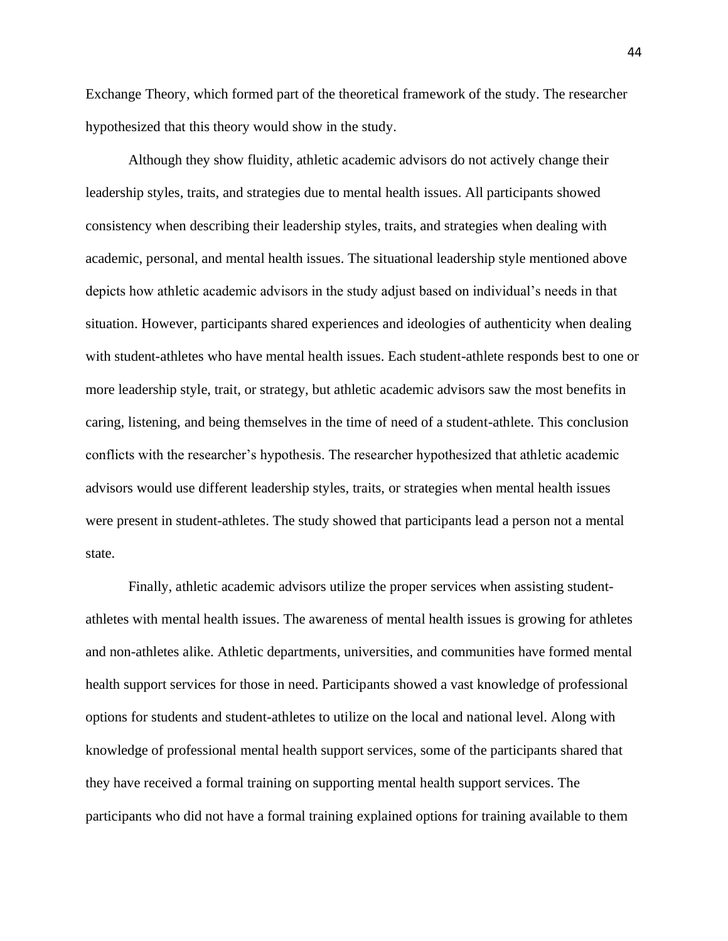Exchange Theory, which formed part of the theoretical framework of the study. The researcher hypothesized that this theory would show in the study.

Although they show fluidity, athletic academic advisors do not actively change their leadership styles, traits, and strategies due to mental health issues. All participants showed consistency when describing their leadership styles, traits, and strategies when dealing with academic, personal, and mental health issues. The situational leadership style mentioned above depicts how athletic academic advisors in the study adjust based on individual's needs in that situation. However, participants shared experiences and ideologies of authenticity when dealing with student-athletes who have mental health issues. Each student-athlete responds best to one or more leadership style, trait, or strategy, but athletic academic advisors saw the most benefits in caring, listening, and being themselves in the time of need of a student-athlete. This conclusion conflicts with the researcher's hypothesis. The researcher hypothesized that athletic academic advisors would use different leadership styles, traits, or strategies when mental health issues were present in student-athletes. The study showed that participants lead a person not a mental state.

Finally, athletic academic advisors utilize the proper services when assisting studentathletes with mental health issues. The awareness of mental health issues is growing for athletes and non-athletes alike. Athletic departments, universities, and communities have formed mental health support services for those in need. Participants showed a vast knowledge of professional options for students and student-athletes to utilize on the local and national level. Along with knowledge of professional mental health support services, some of the participants shared that they have received a formal training on supporting mental health support services. The participants who did not have a formal training explained options for training available to them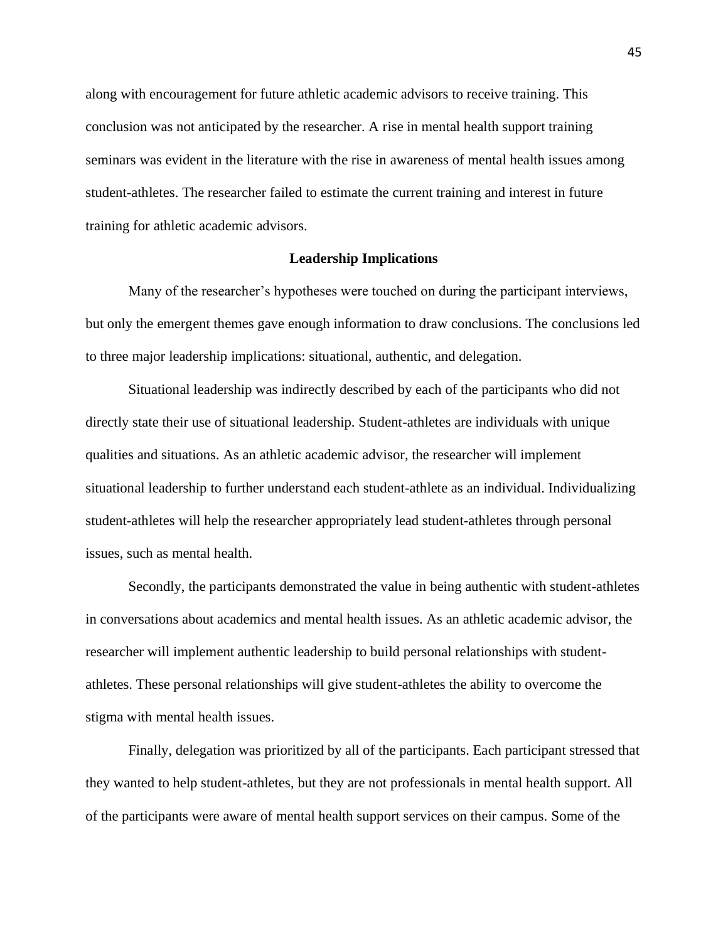along with encouragement for future athletic academic advisors to receive training. This conclusion was not anticipated by the researcher. A rise in mental health support training seminars was evident in the literature with the rise in awareness of mental health issues among student-athletes. The researcher failed to estimate the current training and interest in future training for athletic academic advisors.

## **Leadership Implications**

Many of the researcher's hypotheses were touched on during the participant interviews, but only the emergent themes gave enough information to draw conclusions. The conclusions led to three major leadership implications: situational, authentic, and delegation.

Situational leadership was indirectly described by each of the participants who did not directly state their use of situational leadership. Student-athletes are individuals with unique qualities and situations. As an athletic academic advisor, the researcher will implement situational leadership to further understand each student-athlete as an individual. Individualizing student-athletes will help the researcher appropriately lead student-athletes through personal issues, such as mental health.

Secondly, the participants demonstrated the value in being authentic with student-athletes in conversations about academics and mental health issues. As an athletic academic advisor, the researcher will implement authentic leadership to build personal relationships with studentathletes. These personal relationships will give student-athletes the ability to overcome the stigma with mental health issues.

Finally, delegation was prioritized by all of the participants. Each participant stressed that they wanted to help student-athletes, but they are not professionals in mental health support. All of the participants were aware of mental health support services on their campus. Some of the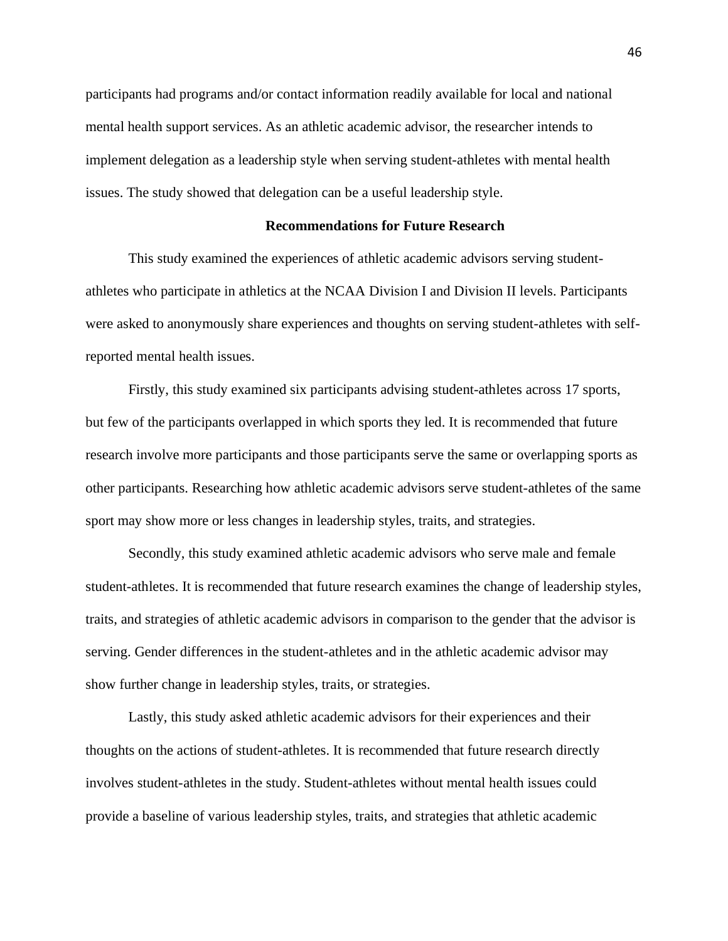participants had programs and/or contact information readily available for local and national mental health support services. As an athletic academic advisor, the researcher intends to implement delegation as a leadership style when serving student-athletes with mental health issues. The study showed that delegation can be a useful leadership style.

## **Recommendations for Future Research**

This study examined the experiences of athletic academic advisors serving studentathletes who participate in athletics at the NCAA Division I and Division II levels. Participants were asked to anonymously share experiences and thoughts on serving student-athletes with selfreported mental health issues.

Firstly, this study examined six participants advising student-athletes across 17 sports, but few of the participants overlapped in which sports they led. It is recommended that future research involve more participants and those participants serve the same or overlapping sports as other participants. Researching how athletic academic advisors serve student-athletes of the same sport may show more or less changes in leadership styles, traits, and strategies.

Secondly, this study examined athletic academic advisors who serve male and female student-athletes. It is recommended that future research examines the change of leadership styles, traits, and strategies of athletic academic advisors in comparison to the gender that the advisor is serving. Gender differences in the student-athletes and in the athletic academic advisor may show further change in leadership styles, traits, or strategies.

Lastly, this study asked athletic academic advisors for their experiences and their thoughts on the actions of student-athletes. It is recommended that future research directly involves student-athletes in the study. Student-athletes without mental health issues could provide a baseline of various leadership styles, traits, and strategies that athletic academic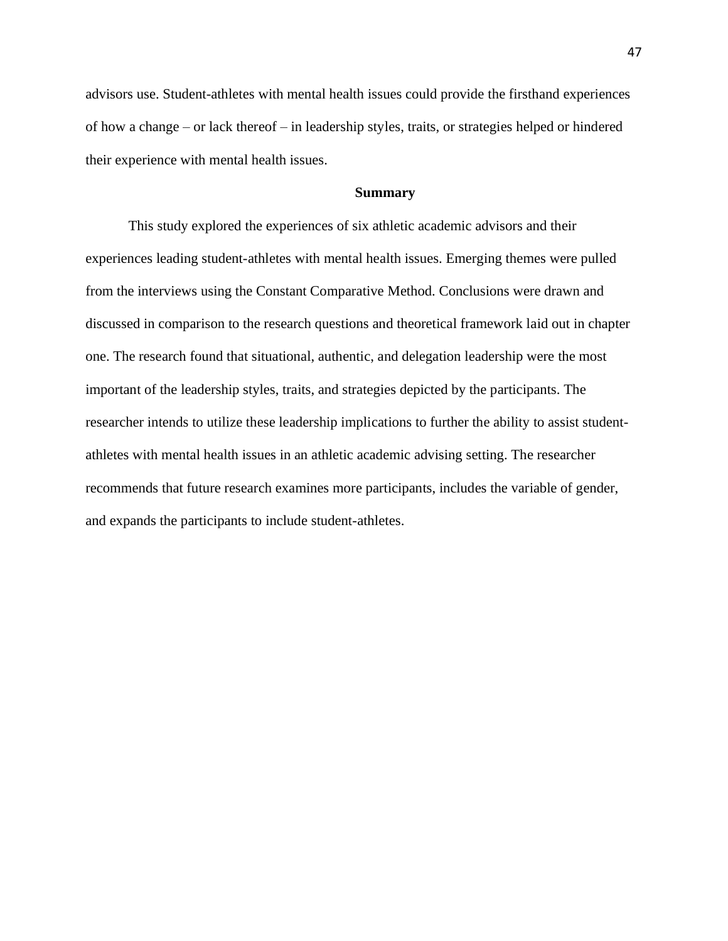advisors use. Student-athletes with mental health issues could provide the firsthand experiences of how a change – or lack thereof – in leadership styles, traits, or strategies helped or hindered their experience with mental health issues.

## **Summary**

This study explored the experiences of six athletic academic advisors and their experiences leading student-athletes with mental health issues. Emerging themes were pulled from the interviews using the Constant Comparative Method. Conclusions were drawn and discussed in comparison to the research questions and theoretical framework laid out in chapter one. The research found that situational, authentic, and delegation leadership were the most important of the leadership styles, traits, and strategies depicted by the participants. The researcher intends to utilize these leadership implications to further the ability to assist studentathletes with mental health issues in an athletic academic advising setting. The researcher recommends that future research examines more participants, includes the variable of gender, and expands the participants to include student-athletes.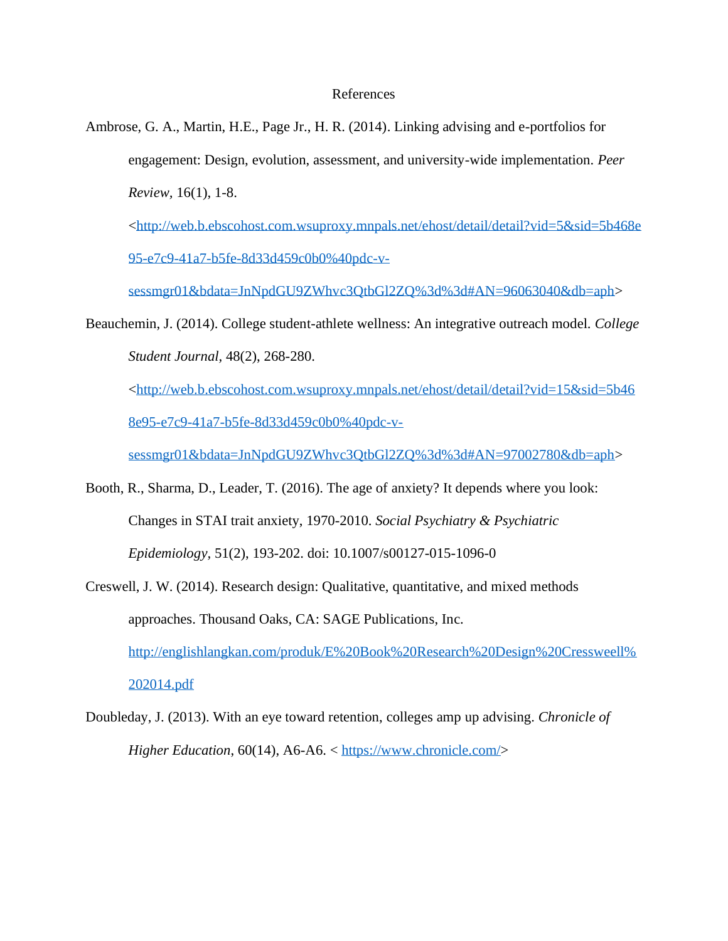## References

Ambrose, G. A., Martin, H.E., Page Jr., H. R. (2014). Linking advising and e-portfolios for engagement: Design, evolution, assessment, and university-wide implementation. *Peer Review,* 16(1), 1-8.

[<http://web.b.ebscohost.com.wsuproxy.mnpals.net/ehost/detail/detail?vid=5&sid=5b468e](http://web.b.ebscohost.com.wsuproxy.mnpals.net/ehost/detail/detail?vid=5&sid=5b468e95-e7c9-41a7-b5fe-8d33d459c0b0%40pdc-v-sessmgr01&bdata=JnNpdGU9ZWhvc3QtbGl2ZQ%3d%3d#AN=96063040&db=aph) [95-e7c9-41a7-b5fe-8d33d459c0b0%40pdc-v-](http://web.b.ebscohost.com.wsuproxy.mnpals.net/ehost/detail/detail?vid=5&sid=5b468e95-e7c9-41a7-b5fe-8d33d459c0b0%40pdc-v-sessmgr01&bdata=JnNpdGU9ZWhvc3QtbGl2ZQ%3d%3d#AN=96063040&db=aph)

[sessmgr01&bdata=JnNpdGU9ZWhvc3QtbGl2ZQ%3d%3d#AN=96063040&db=aph>](http://web.b.ebscohost.com.wsuproxy.mnpals.net/ehost/detail/detail?vid=5&sid=5b468e95-e7c9-41a7-b5fe-8d33d459c0b0%40pdc-v-sessmgr01&bdata=JnNpdGU9ZWhvc3QtbGl2ZQ%3d%3d#AN=96063040&db=aph)

Beauchemin, J. (2014). College student-athlete wellness: An integrative outreach model. *College Student Journal,* 48(2), 268-280.

[<http://web.b.ebscohost.com.wsuproxy.mnpals.net/ehost/detail/detail?vid=15&sid=5b46](http://web.b.ebscohost.com.wsuproxy.mnpals.net/ehost/detail/detail?vid=15&sid=5b468e95-e7c9-41a7-b5fe-8d33d459c0b0%40pdc-v-sessmgr01&bdata=JnNpdGU9ZWhvc3QtbGl2ZQ%3d%3d#AN=97002780&db=aph) [8e95-e7c9-41a7-b5fe-8d33d459c0b0%40pdc-v-](http://web.b.ebscohost.com.wsuproxy.mnpals.net/ehost/detail/detail?vid=15&sid=5b468e95-e7c9-41a7-b5fe-8d33d459c0b0%40pdc-v-sessmgr01&bdata=JnNpdGU9ZWhvc3QtbGl2ZQ%3d%3d#AN=97002780&db=aph)

[sessmgr01&bdata=JnNpdGU9ZWhvc3QtbGl2ZQ%3d%3d#AN=97002780&db=aph>](http://web.b.ebscohost.com.wsuproxy.mnpals.net/ehost/detail/detail?vid=15&sid=5b468e95-e7c9-41a7-b5fe-8d33d459c0b0%40pdc-v-sessmgr01&bdata=JnNpdGU9ZWhvc3QtbGl2ZQ%3d%3d#AN=97002780&db=aph)

- Booth, R., Sharma, D., Leader, T. (2016). The age of anxiety? It depends where you look: Changes in STAI trait anxiety, 1970-2010. *Social Psychiatry & Psychiatric Epidemiology,* 51(2), 193-202. doi: 10.1007/s00127-015-1096-0
- Creswell, J. W. (2014). Research design: Qualitative, quantitative, and mixed methods approaches. Thousand Oaks, CA: SAGE Publications, Inc. [http://englishlangkan.com/produk/E%20Book%20Research%20Design%20Cressweell%](http://englishlangkan.com/produk/E%20Book%20Research%20Design%20Cressweell%202014.pdf) [202014.pdf](http://englishlangkan.com/produk/E%20Book%20Research%20Design%20Cressweell%202014.pdf)
- Doubleday, J. (2013). With an eye toward retention, colleges amp up advising. *Chronicle of Higher Education*, 60(14), A6-A6. < [https://www.chronicle.com/>](https://www.chronicle.com/)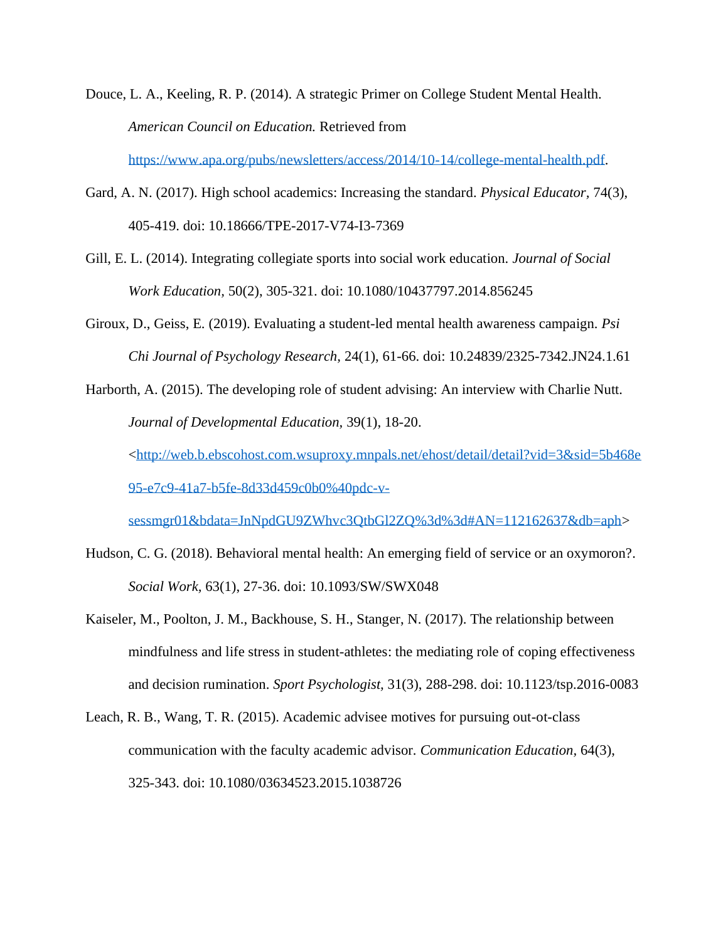Douce, L. A., Keeling, R. P. (2014). A strategic Primer on College Student Mental Health. *American Council on Education.* Retrieved from

[https://www.apa.org/pubs/newsletters/access/2014/10-14/college-mental-health.pdf.](https://www.apa.org/pubs/newsletters/access/2014/10-14/college-mental-health.pdf)

- Gard, A. N. (2017). High school academics: Increasing the standard. *Physical Educator,* 74(3), 405-419. doi: 10.18666/TPE-2017-V74-I3-7369
- Gill, E. L. (2014). Integrating collegiate sports into social work education. *Journal of Social Work Education,* 50(2), 305-321. doi: 10.1080/10437797.2014.856245
- Giroux, D., Geiss, E. (2019). Evaluating a student-led mental health awareness campaign. *Psi Chi Journal of Psychology Research,* 24(1), 61-66. doi: 10.24839/2325-7342.JN24.1.61

Harborth, A. (2015). The developing role of student advising: An interview with Charlie Nutt. *Journal of Developmental Education,* 39(1), 18-20.

[<http://web.b.ebscohost.com.wsuproxy.mnpals.net/ehost/detail/detail?vid=3&sid=5b468e](http://web.b.ebscohost.com.wsuproxy.mnpals.net/ehost/detail/detail?vid=3&sid=5b468e95-e7c9-41a7-b5fe-8d33d459c0b0%40pdc-v-sessmgr01&bdata=JnNpdGU9ZWhvc3QtbGl2ZQ%3d%3d#AN=112162637&db=aph) [95-e7c9-41a7-b5fe-8d33d459c0b0%40pdc-v-](http://web.b.ebscohost.com.wsuproxy.mnpals.net/ehost/detail/detail?vid=3&sid=5b468e95-e7c9-41a7-b5fe-8d33d459c0b0%40pdc-v-sessmgr01&bdata=JnNpdGU9ZWhvc3QtbGl2ZQ%3d%3d#AN=112162637&db=aph)

[sessmgr01&bdata=JnNpdGU9ZWhvc3QtbGl2ZQ%3d%3d#AN=112162637&db=aph>](http://web.b.ebscohost.com.wsuproxy.mnpals.net/ehost/detail/detail?vid=3&sid=5b468e95-e7c9-41a7-b5fe-8d33d459c0b0%40pdc-v-sessmgr01&bdata=JnNpdGU9ZWhvc3QtbGl2ZQ%3d%3d#AN=112162637&db=aph)

- Hudson, C. G. (2018). Behavioral mental health: An emerging field of service or an oxymoron?. *Social Work,* 63(1), 27-36. doi: 10.1093/SW/SWX048
- Kaiseler, M., Poolton, J. M., Backhouse, S. H., Stanger, N. (2017). The relationship between mindfulness and life stress in student-athletes: the mediating role of coping effectiveness and decision rumination. *Sport Psychologist,* 31(3), 288-298. doi: 10.1123/tsp.2016-0083
- Leach, R. B., Wang, T. R. (2015). Academic advisee motives for pursuing out-ot-class communication with the faculty academic advisor. *Communication Education,* 64(3), 325-343. doi: 10.1080/03634523.2015.1038726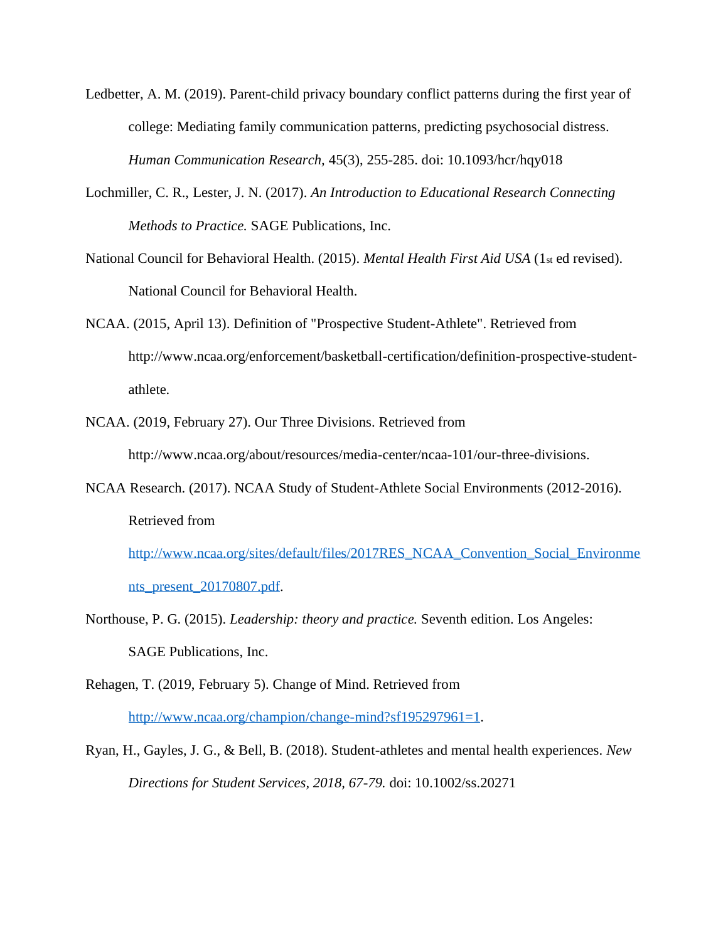- Ledbetter, A. M. (2019). Parent-child privacy boundary conflict patterns during the first year of college: Mediating family communication patterns, predicting psychosocial distress. *Human Communication Research,* 45(3), 255-285. doi: 10.1093/hcr/hqy018
- Lochmiller, C. R., Lester, J. N. (2017). *An Introduction to Educational Research Connecting Methods to Practice.* SAGE Publications, Inc.
- National Council for Behavioral Health. (2015). *Mental Health First Aid USA* (1st ed revised). National Council for Behavioral Health.
- NCAA. (2015, April 13). Definition of "Prospective Student-Athlete". Retrieved from http://www.ncaa.org/enforcement/basketball-certification/definition-prospective-studentathlete.
- NCAA. (2019, February 27). Our Three Divisions. Retrieved from http://www.ncaa.org/about/resources/media-center/ncaa-101/our-three-divisions.
- NCAA Research. (2017). NCAA Study of Student-Athlete Social Environments (2012-2016). Retrieved from

[http://www.ncaa.org/sites/default/files/2017RES\\_NCAA\\_Convention\\_Social\\_Environme](http://www.ncaa.org/sites/default/files/2017RES_NCAA_Convention_Social_Environments_present_20170807.pdf) [nts\\_present\\_20170807.pdf.](http://www.ncaa.org/sites/default/files/2017RES_NCAA_Convention_Social_Environments_present_20170807.pdf)

- Northouse, P. G. (2015). *Leadership: theory and practice.* Seventh edition. Los Angeles: SAGE Publications, Inc.
- Rehagen, T. (2019, February 5). Change of Mind. Retrieved from [http://www.ncaa.org/champion/change-mind?sf195297961=1.](http://www.ncaa.org/champion/change-mind?sf195297961=1)
- Ryan, H., Gayles, J. G., & Bell, B. (2018). Student-athletes and mental health experiences. *New Directions for Student Services, 2018, 67-79.* doi: 10.1002/ss.20271